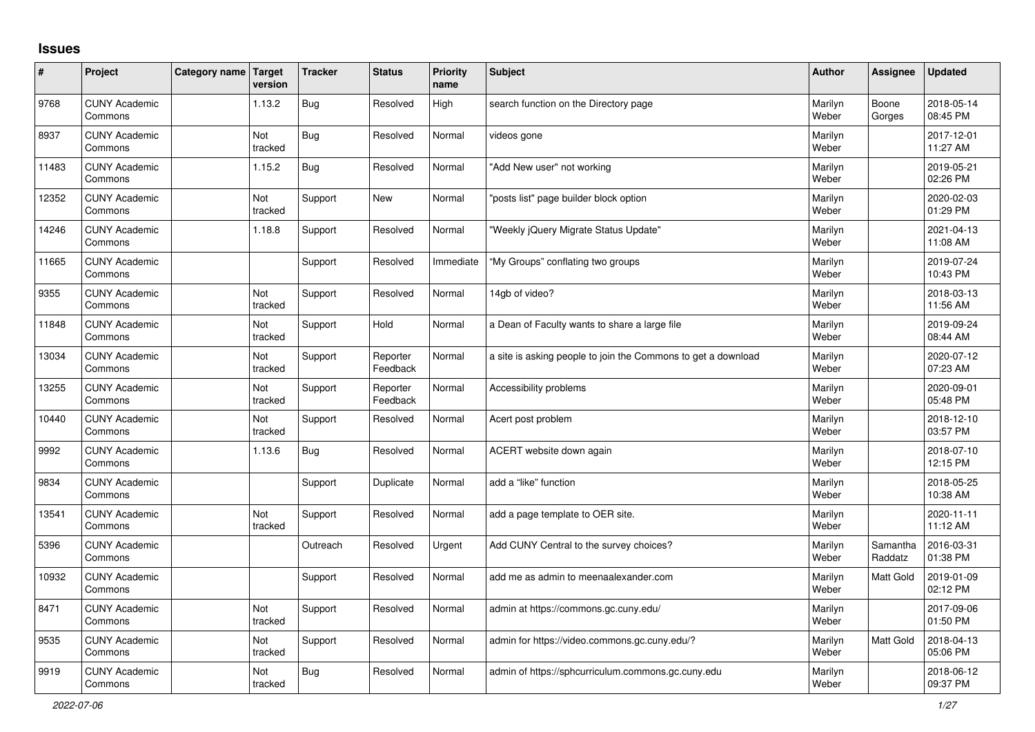## **Issues**

| #     | Project                         | Category name Target | version        | <b>Tracker</b> | <b>Status</b>        | Priority<br>name | <b>Subject</b>                                                | <b>Author</b>    | Assignee            | <b>Updated</b>         |
|-------|---------------------------------|----------------------|----------------|----------------|----------------------|------------------|---------------------------------------------------------------|------------------|---------------------|------------------------|
| 9768  | <b>CUNY Academic</b><br>Commons |                      | 1.13.2         | <b>Bug</b>     | Resolved             | High             | search function on the Directory page                         | Marilyn<br>Weber | Boone<br>Gorges     | 2018-05-14<br>08:45 PM |
| 8937  | <b>CUNY Academic</b><br>Commons |                      | Not<br>tracked | Bug            | Resolved             | Normal           | videos gone                                                   | Marilyn<br>Weber |                     | 2017-12-01<br>11:27 AM |
| 11483 | <b>CUNY Academic</b><br>Commons |                      | 1.15.2         | <b>Bug</b>     | Resolved             | Normal           | 'Add New user" not working                                    | Marilyn<br>Weber |                     | 2019-05-21<br>02:26 PM |
| 12352 | <b>CUNY Academic</b><br>Commons |                      | Not<br>tracked | Support        | <b>New</b>           | Normal           | 'posts list" page builder block option                        | Marilyn<br>Weber |                     | 2020-02-03<br>01:29 PM |
| 14246 | <b>CUNY Academic</b><br>Commons |                      | 1.18.8         | Support        | Resolved             | Normal           | "Weekly jQuery Migrate Status Update"                         | Marilyn<br>Weber |                     | 2021-04-13<br>11:08 AM |
| 11665 | <b>CUNY Academic</b><br>Commons |                      |                | Support        | Resolved             | Immediate        | "My Groups" conflating two groups                             | Marilyn<br>Weber |                     | 2019-07-24<br>10:43 PM |
| 9355  | <b>CUNY Academic</b><br>Commons |                      | Not<br>tracked | Support        | Resolved             | Normal           | 14gb of video?                                                | Marilyn<br>Weber |                     | 2018-03-13<br>11:56 AM |
| 11848 | <b>CUNY Academic</b><br>Commons |                      | Not<br>tracked | Support        | Hold                 | Normal           | a Dean of Faculty wants to share a large file                 | Marilyn<br>Weber |                     | 2019-09-24<br>08:44 AM |
| 13034 | <b>CUNY Academic</b><br>Commons |                      | Not<br>tracked | Support        | Reporter<br>Feedback | Normal           | a site is asking people to join the Commons to get a download | Marilyn<br>Weber |                     | 2020-07-12<br>07:23 AM |
| 13255 | <b>CUNY Academic</b><br>Commons |                      | Not<br>tracked | Support        | Reporter<br>Feedback | Normal           | Accessibility problems                                        | Marilyn<br>Weber |                     | 2020-09-01<br>05:48 PM |
| 10440 | <b>CUNY Academic</b><br>Commons |                      | Not<br>tracked | Support        | Resolved             | Normal           | Acert post problem                                            | Marilyn<br>Weber |                     | 2018-12-10<br>03:57 PM |
| 9992  | <b>CUNY Academic</b><br>Commons |                      | 1.13.6         | <b>Bug</b>     | Resolved             | Normal           | ACERT website down again                                      | Marilyn<br>Weber |                     | 2018-07-10<br>12:15 PM |
| 9834  | <b>CUNY Academic</b><br>Commons |                      |                | Support        | Duplicate            | Normal           | add a "like" function                                         | Marilyn<br>Weber |                     | 2018-05-25<br>10:38 AM |
| 13541 | <b>CUNY Academic</b><br>Commons |                      | Not<br>tracked | Support        | Resolved             | Normal           | add a page template to OER site.                              | Marilyn<br>Weber |                     | 2020-11-11<br>11:12 AM |
| 5396  | <b>CUNY Academic</b><br>Commons |                      |                | Outreach       | Resolved             | Urgent           | Add CUNY Central to the survey choices?                       | Marilyn<br>Weber | Samantha<br>Raddatz | 2016-03-31<br>01:38 PM |
| 10932 | <b>CUNY Academic</b><br>Commons |                      |                | Support        | Resolved             | Normal           | add me as admin to meenaalexander.com                         | Marilyn<br>Weber | Matt Gold           | 2019-01-09<br>02:12 PM |
| 8471  | <b>CUNY Academic</b><br>Commons |                      | Not<br>tracked | Support        | Resolved             | Normal           | admin at https://commons.gc.cuny.edu/                         | Marilyn<br>Weber |                     | 2017-09-06<br>01:50 PM |
| 9535  | <b>CUNY Academic</b><br>Commons |                      | Not<br>tracked | Support        | Resolved             | Normal           | admin for https://video.commons.gc.cuny.edu/?                 | Marilyn<br>Weber | Matt Gold           | 2018-04-13<br>05:06 PM |
| 9919  | <b>CUNY Academic</b><br>Commons |                      | Not<br>tracked | Bug            | Resolved             | Normal           | admin of https://sphcurriculum.commons.gc.cuny.edu            | Marilyn<br>Weber |                     | 2018-06-12<br>09:37 PM |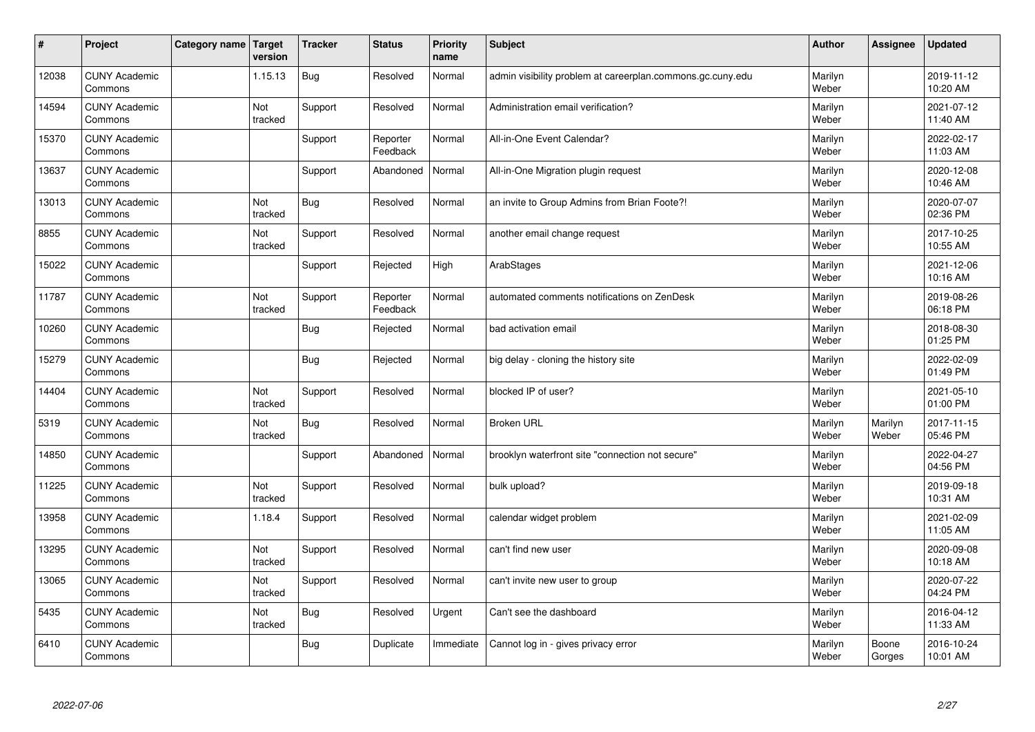| $\sharp$ | Project                         | Category name   Target | version        | <b>Tracker</b> | <b>Status</b>        | <b>Priority</b><br>name | <b>Subject</b>                                             | <b>Author</b>    | Assignee         | <b>Updated</b>         |
|----------|---------------------------------|------------------------|----------------|----------------|----------------------|-------------------------|------------------------------------------------------------|------------------|------------------|------------------------|
| 12038    | <b>CUNY Academic</b><br>Commons |                        | 1.15.13        | <b>Bug</b>     | Resolved             | Normal                  | admin visibility problem at careerplan.commons.gc.cuny.edu | Marilyn<br>Weber |                  | 2019-11-12<br>10:20 AM |
| 14594    | <b>CUNY Academic</b><br>Commons |                        | Not<br>tracked | Support        | Resolved             | Normal                  | Administration email verification?                         | Marilyn<br>Weber |                  | 2021-07-12<br>11:40 AM |
| 15370    | <b>CUNY Academic</b><br>Commons |                        |                | Support        | Reporter<br>Feedback | Normal                  | All-in-One Event Calendar?                                 | Marilyn<br>Weber |                  | 2022-02-17<br>11:03 AM |
| 13637    | <b>CUNY Academic</b><br>Commons |                        |                | Support        | Abandoned            | Normal                  | All-in-One Migration plugin request                        | Marilyn<br>Weber |                  | 2020-12-08<br>10:46 AM |
| 13013    | <b>CUNY Academic</b><br>Commons |                        | Not<br>tracked | <b>Bug</b>     | Resolved             | Normal                  | an invite to Group Admins from Brian Foote?!               | Marilyn<br>Weber |                  | 2020-07-07<br>02:36 PM |
| 8855     | <b>CUNY Academic</b><br>Commons |                        | Not<br>tracked | Support        | Resolved             | Normal                  | another email change request                               | Marilyn<br>Weber |                  | 2017-10-25<br>10:55 AM |
| 15022    | <b>CUNY Academic</b><br>Commons |                        |                | Support        | Rejected             | High                    | ArabStages                                                 | Marilyn<br>Weber |                  | 2021-12-06<br>10:16 AM |
| 11787    | <b>CUNY Academic</b><br>Commons |                        | Not<br>tracked | Support        | Reporter<br>Feedback | Normal                  | automated comments notifications on ZenDesk                | Marilyn<br>Weber |                  | 2019-08-26<br>06:18 PM |
| 10260    | <b>CUNY Academic</b><br>Commons |                        |                | Bug            | Rejected             | Normal                  | bad activation email                                       | Marilyn<br>Weber |                  | 2018-08-30<br>01:25 PM |
| 15279    | <b>CUNY Academic</b><br>Commons |                        |                | Bug            | Rejected             | Normal                  | big delay - cloning the history site                       | Marilyn<br>Weber |                  | 2022-02-09<br>01:49 PM |
| 14404    | <b>CUNY Academic</b><br>Commons |                        | Not<br>tracked | Support        | Resolved             | Normal                  | blocked IP of user?                                        | Marilyn<br>Weber |                  | 2021-05-10<br>01:00 PM |
| 5319     | <b>CUNY Academic</b><br>Commons |                        | Not<br>tracked | <b>Bug</b>     | Resolved             | Normal                  | <b>Broken URL</b>                                          | Marilyn<br>Weber | Marilyn<br>Weber | 2017-11-15<br>05:46 PM |
| 14850    | <b>CUNY Academic</b><br>Commons |                        |                | Support        | Abandoned            | Normal                  | brooklyn waterfront site "connection not secure"           | Marilyn<br>Weber |                  | 2022-04-27<br>04:56 PM |
| 11225    | <b>CUNY Academic</b><br>Commons |                        | Not<br>tracked | Support        | Resolved             | Normal                  | bulk upload?                                               | Marilyn<br>Weber |                  | 2019-09-18<br>10:31 AM |
| 13958    | <b>CUNY Academic</b><br>Commons |                        | 1.18.4         | Support        | Resolved             | Normal                  | calendar widget problem                                    | Marilyn<br>Weber |                  | 2021-02-09<br>11:05 AM |
| 13295    | <b>CUNY Academic</b><br>Commons |                        | Not<br>tracked | Support        | Resolved             | Normal                  | can't find new user                                        | Marilyn<br>Weber |                  | 2020-09-08<br>10:18 AM |
| 13065    | <b>CUNY Academic</b><br>Commons |                        | Not<br>tracked | Support        | Resolved             | Normal                  | can't invite new user to group                             | Marilyn<br>Weber |                  | 2020-07-22<br>04:24 PM |
| 5435     | <b>CUNY Academic</b><br>Commons |                        | Not<br>tracked | <b>Bug</b>     | Resolved             | Urgent                  | Can't see the dashboard                                    | Marilyn<br>Weber |                  | 2016-04-12<br>11:33 AM |
| 6410     | <b>CUNY Academic</b><br>Commons |                        |                | Bug            | Duplicate            | Immediate               | Cannot log in - gives privacy error                        | Marilyn<br>Weber | Boone<br>Gorges  | 2016-10-24<br>10:01 AM |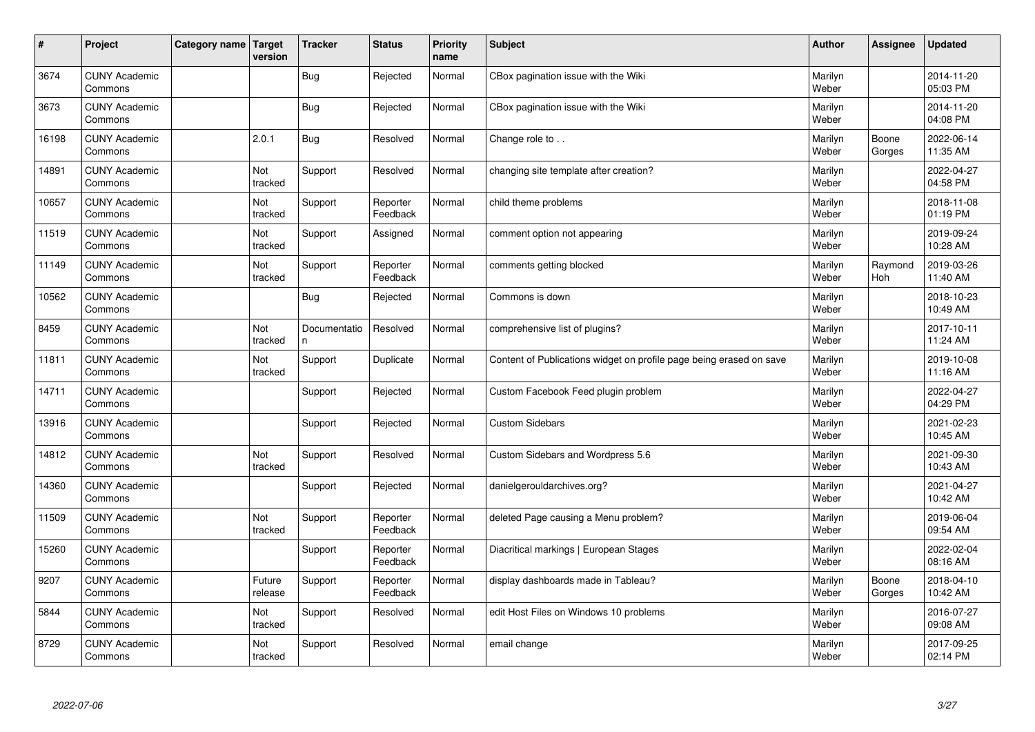| $\vert$ # | Project                         | Category name   Target | version               | <b>Tracker</b>    | <b>Status</b>        | <b>Priority</b><br>name | <b>Subject</b>                                                      | <b>Author</b>    | Assignee        | <b>Updated</b>         |
|-----------|---------------------------------|------------------------|-----------------------|-------------------|----------------------|-------------------------|---------------------------------------------------------------------|------------------|-----------------|------------------------|
| 3674      | <b>CUNY Academic</b><br>Commons |                        |                       | <b>Bug</b>        | Rejected             | Normal                  | CBox pagination issue with the Wiki                                 | Marilyn<br>Weber |                 | 2014-11-20<br>05:03 PM |
| 3673      | <b>CUNY Academic</b><br>Commons |                        |                       | <b>Bug</b>        | Rejected             | Normal                  | CBox pagination issue with the Wiki                                 | Marilyn<br>Weber |                 | 2014-11-20<br>04:08 PM |
| 16198     | <b>CUNY Academic</b><br>Commons |                        | 2.0.1                 | <b>Bug</b>        | Resolved             | Normal                  | Change role to                                                      | Marilyn<br>Weber | Boone<br>Gorges | 2022-06-14<br>11:35 AM |
| 14891     | <b>CUNY Academic</b><br>Commons |                        | <b>Not</b><br>tracked | Support           | Resolved             | Normal                  | changing site template after creation?                              | Marilyn<br>Weber |                 | 2022-04-27<br>04:58 PM |
| 10657     | <b>CUNY Academic</b><br>Commons |                        | Not<br>tracked        | Support           | Reporter<br>Feedback | Normal                  | child theme problems                                                | Marilyn<br>Weber |                 | 2018-11-08<br>01:19 PM |
| 11519     | <b>CUNY Academic</b><br>Commons |                        | <b>Not</b><br>tracked | Support           | Assigned             | Normal                  | comment option not appearing                                        | Marilyn<br>Weber |                 | 2019-09-24<br>10:28 AM |
| 11149     | <b>CUNY Academic</b><br>Commons |                        | Not<br>tracked        | Support           | Reporter<br>Feedback | Normal                  | comments getting blocked                                            | Marilyn<br>Weber | Raymond<br>Hoh  | 2019-03-26<br>11:40 AM |
| 10562     | <b>CUNY Academic</b><br>Commons |                        |                       | Bug               | Rejected             | Normal                  | Commons is down                                                     | Marilyn<br>Weber |                 | 2018-10-23<br>10:49 AM |
| 8459      | <b>CUNY Academic</b><br>Commons |                        | Not<br>tracked        | Documentatio<br>n | Resolved             | Normal                  | comprehensive list of plugins?                                      | Marilyn<br>Weber |                 | 2017-10-11<br>11:24 AM |
| 11811     | <b>CUNY Academic</b><br>Commons |                        | Not<br>tracked        | Support           | Duplicate            | Normal                  | Content of Publications widget on profile page being erased on save | Marilyn<br>Weber |                 | 2019-10-08<br>11:16 AM |
| 14711     | <b>CUNY Academic</b><br>Commons |                        |                       | Support           | Rejected             | Normal                  | Custom Facebook Feed plugin problem                                 | Marilyn<br>Weber |                 | 2022-04-27<br>04:29 PM |
| 13916     | <b>CUNY Academic</b><br>Commons |                        |                       | Support           | Rejected             | Normal                  | <b>Custom Sidebars</b>                                              | Marilyn<br>Weber |                 | 2021-02-23<br>10:45 AM |
| 14812     | <b>CUNY Academic</b><br>Commons |                        | Not<br>tracked        | Support           | Resolved             | Normal                  | Custom Sidebars and Wordpress 5.6                                   | Marilyn<br>Weber |                 | 2021-09-30<br>10:43 AM |
| 14360     | <b>CUNY Academic</b><br>Commons |                        |                       | Support           | Rejected             | Normal                  | danielgerouldarchives.org?                                          | Marilyn<br>Weber |                 | 2021-04-27<br>10:42 AM |
| 11509     | <b>CUNY Academic</b><br>Commons |                        | Not<br>tracked        | Support           | Reporter<br>Feedback | Normal                  | deleted Page causing a Menu problem?                                | Marilyn<br>Weber |                 | 2019-06-04<br>09:54 AM |
| 15260     | <b>CUNY Academic</b><br>Commons |                        |                       | Support           | Reporter<br>Feedback | Normal                  | Diacritical markings   European Stages                              | Marilyn<br>Weber |                 | 2022-02-04<br>08:16 AM |
| 9207      | <b>CUNY Academic</b><br>Commons |                        | Future<br>release     | Support           | Reporter<br>Feedback | Normal                  | display dashboards made in Tableau?                                 | Marilyn<br>Weber | Boone<br>Gorges | 2018-04-10<br>10:42 AM |
| 5844      | <b>CUNY Academic</b><br>Commons |                        | Not<br>tracked        | Support           | Resolved             | Normal                  | edit Host Files on Windows 10 problems                              | Marilyn<br>Weber |                 | 2016-07-27<br>09:08 AM |
| 8729      | <b>CUNY Academic</b><br>Commons |                        | Not<br>tracked        | Support           | Resolved             | Normal                  | email change                                                        | Marilyn<br>Weber |                 | 2017-09-25<br>02:14 PM |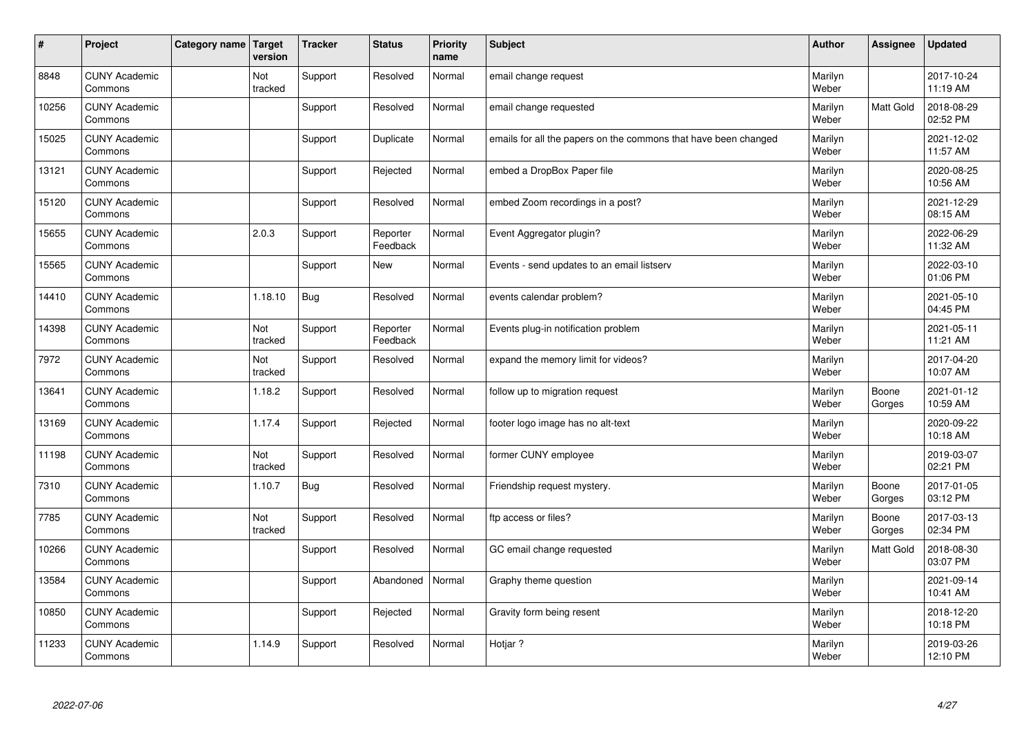| $\vert$ # | Project                         | Category name   Target | version        | <b>Tracker</b> | <b>Status</b>        | <b>Priority</b><br>name | <b>Subject</b>                                                  | <b>Author</b>    | <b>Assignee</b> | <b>Updated</b>         |
|-----------|---------------------------------|------------------------|----------------|----------------|----------------------|-------------------------|-----------------------------------------------------------------|------------------|-----------------|------------------------|
| 8848      | <b>CUNY Academic</b><br>Commons |                        | Not<br>tracked | Support        | Resolved             | Normal                  | email change request                                            | Marilyn<br>Weber |                 | 2017-10-24<br>11:19 AM |
| 10256     | <b>CUNY Academic</b><br>Commons |                        |                | Support        | Resolved             | Normal                  | email change requested                                          | Marilyn<br>Weber | Matt Gold       | 2018-08-29<br>02:52 PM |
| 15025     | <b>CUNY Academic</b><br>Commons |                        |                | Support        | Duplicate            | Normal                  | emails for all the papers on the commons that have been changed | Marilyn<br>Weber |                 | 2021-12-02<br>11:57 AM |
| 13121     | <b>CUNY Academic</b><br>Commons |                        |                | Support        | Rejected             | Normal                  | embed a DropBox Paper file                                      | Marilyn<br>Weber |                 | 2020-08-25<br>10:56 AM |
| 15120     | <b>CUNY Academic</b><br>Commons |                        |                | Support        | Resolved             | Normal                  | embed Zoom recordings in a post?                                | Marilyn<br>Weber |                 | 2021-12-29<br>08:15 AM |
| 15655     | <b>CUNY Academic</b><br>Commons |                        | 2.0.3          | Support        | Reporter<br>Feedback | Normal                  | Event Aggregator plugin?                                        | Marilyn<br>Weber |                 | 2022-06-29<br>11:32 AM |
| 15565     | <b>CUNY Academic</b><br>Commons |                        |                | Support        | <b>New</b>           | Normal                  | Events - send updates to an email listserv                      | Marilyn<br>Weber |                 | 2022-03-10<br>01:06 PM |
| 14410     | <b>CUNY Academic</b><br>Commons |                        | 1.18.10        | <b>Bug</b>     | Resolved             | Normal                  | events calendar problem?                                        | Marilyn<br>Weber |                 | 2021-05-10<br>04:45 PM |
| 14398     | <b>CUNY Academic</b><br>Commons |                        | Not<br>tracked | Support        | Reporter<br>Feedback | Normal                  | Events plug-in notification problem                             | Marilyn<br>Weber |                 | 2021-05-11<br>11:21 AM |
| 7972      | <b>CUNY Academic</b><br>Commons |                        | Not<br>tracked | Support        | Resolved             | Normal                  | expand the memory limit for videos?                             | Marilyn<br>Weber |                 | 2017-04-20<br>10:07 AM |
| 13641     | <b>CUNY Academic</b><br>Commons |                        | 1.18.2         | Support        | Resolved             | Normal                  | follow up to migration request                                  | Marilyn<br>Weber | Boone<br>Gorges | 2021-01-12<br>10:59 AM |
| 13169     | <b>CUNY Academic</b><br>Commons |                        | 1.17.4         | Support        | Rejected             | Normal                  | footer logo image has no alt-text                               | Marilyn<br>Weber |                 | 2020-09-22<br>10:18 AM |
| 11198     | <b>CUNY Academic</b><br>Commons |                        | Not<br>tracked | Support        | Resolved             | Normal                  | former CUNY employee                                            | Marilyn<br>Weber |                 | 2019-03-07<br>02:21 PM |
| 7310      | <b>CUNY Academic</b><br>Commons |                        | 1.10.7         | <b>Bug</b>     | Resolved             | Normal                  | Friendship request mystery.                                     | Marilyn<br>Weber | Boone<br>Gorges | 2017-01-05<br>03:12 PM |
| 7785      | <b>CUNY Academic</b><br>Commons |                        | Not<br>tracked | Support        | Resolved             | Normal                  | ftp access or files?                                            | Marilyn<br>Weber | Boone<br>Gorges | 2017-03-13<br>02:34 PM |
| 10266     | <b>CUNY Academic</b><br>Commons |                        |                | Support        | Resolved             | Normal                  | GC email change requested                                       | Marilyn<br>Weber | Matt Gold       | 2018-08-30<br>03:07 PM |
| 13584     | <b>CUNY Academic</b><br>Commons |                        |                | Support        | Abandoned            | Normal                  | Graphy theme question                                           | Marilyn<br>Weber |                 | 2021-09-14<br>10:41 AM |
| 10850     | <b>CUNY Academic</b><br>Commons |                        |                | Support        | Rejected             | Normal                  | Gravity form being resent                                       | Marilyn<br>Weber |                 | 2018-12-20<br>10:18 PM |
| 11233     | <b>CUNY Academic</b><br>Commons |                        | 1.14.9         | Support        | Resolved             | Normal                  | Hotjar?                                                         | Marilyn<br>Weber |                 | 2019-03-26<br>12:10 PM |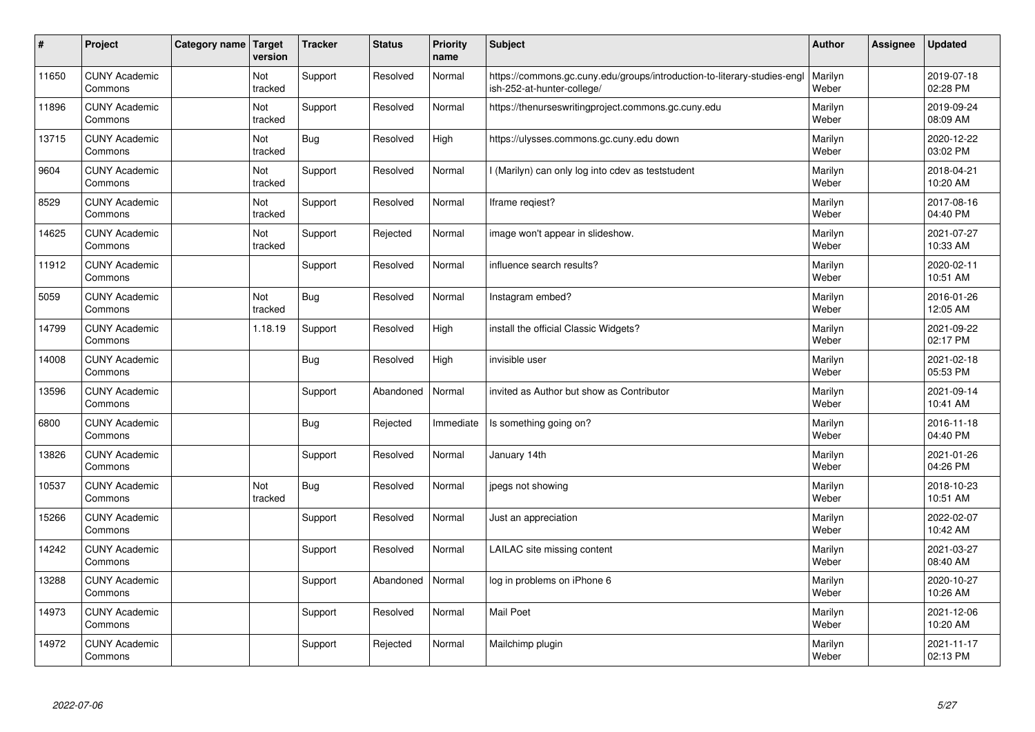| $\sharp$ | Project                         | Category name | Target<br>version | <b>Tracker</b> | <b>Status</b> | <b>Priority</b><br>name | <b>Subject</b>                                                                                         | <b>Author</b>    | Assignee | <b>Updated</b>         |
|----------|---------------------------------|---------------|-------------------|----------------|---------------|-------------------------|--------------------------------------------------------------------------------------------------------|------------------|----------|------------------------|
| 11650    | <b>CUNY Academic</b><br>Commons |               | Not<br>tracked    | Support        | Resolved      | Normal                  | https://commons.gc.cuny.edu/groups/introduction-to-literary-studies-engl<br>ish-252-at-hunter-college/ | Marilyn<br>Weber |          | 2019-07-18<br>02:28 PM |
| 11896    | <b>CUNY Academic</b><br>Commons |               | Not<br>tracked    | Support        | Resolved      | Normal                  | https://thenurseswritingproject.commons.gc.cuny.edu                                                    | Marilyn<br>Weber |          | 2019-09-24<br>08:09 AM |
| 13715    | <b>CUNY Academic</b><br>Commons |               | Not<br>tracked    | <b>Bug</b>     | Resolved      | High                    | https://ulysses.commons.gc.cuny.edu down                                                               | Marilyn<br>Weber |          | 2020-12-22<br>03:02 PM |
| 9604     | <b>CUNY Academic</b><br>Commons |               | Not<br>tracked    | Support        | Resolved      | Normal                  | (Marilyn) can only log into cdev as teststudent                                                        | Marilyn<br>Weber |          | 2018-04-21<br>10:20 AM |
| 8529     | <b>CUNY Academic</b><br>Commons |               | Not<br>tracked    | Support        | Resolved      | Normal                  | Iframe regiest?                                                                                        | Marilyn<br>Weber |          | 2017-08-16<br>04:40 PM |
| 14625    | <b>CUNY Academic</b><br>Commons |               | Not<br>tracked    | Support        | Rejected      | Normal                  | image won't appear in slideshow.                                                                       | Marilyn<br>Weber |          | 2021-07-27<br>10:33 AM |
| 11912    | <b>CUNY Academic</b><br>Commons |               |                   | Support        | Resolved      | Normal                  | influence search results?                                                                              | Marilyn<br>Weber |          | 2020-02-11<br>10:51 AM |
| 5059     | <b>CUNY Academic</b><br>Commons |               | Not<br>tracked    | <b>Bug</b>     | Resolved      | Normal                  | Instagram embed?                                                                                       | Marilyn<br>Weber |          | 2016-01-26<br>12:05 AM |
| 14799    | <b>CUNY Academic</b><br>Commons |               | 1.18.19           | Support        | Resolved      | High                    | install the official Classic Widgets?                                                                  | Marilyn<br>Weber |          | 2021-09-22<br>02:17 PM |
| 14008    | <b>CUNY Academic</b><br>Commons |               |                   | Bug            | Resolved      | High                    | invisible user                                                                                         | Marilyn<br>Weber |          | 2021-02-18<br>05:53 PM |
| 13596    | <b>CUNY Academic</b><br>Commons |               |                   | Support        | Abandoned     | Normal                  | invited as Author but show as Contributor                                                              | Marilyn<br>Weber |          | 2021-09-14<br>10:41 AM |
| 6800     | <b>CUNY Academic</b><br>Commons |               |                   | <b>Bug</b>     | Rejected      | Immediate               | Is something going on?                                                                                 | Marilyn<br>Weber |          | 2016-11-18<br>04:40 PM |
| 13826    | <b>CUNY Academic</b><br>Commons |               |                   | Support        | Resolved      | Normal                  | January 14th                                                                                           | Marilyn<br>Weber |          | 2021-01-26<br>04:26 PM |
| 10537    | <b>CUNY Academic</b><br>Commons |               | Not<br>tracked    | <b>Bug</b>     | Resolved      | Normal                  | jpegs not showing                                                                                      | Marilyn<br>Weber |          | 2018-10-23<br>10:51 AM |
| 15266    | <b>CUNY Academic</b><br>Commons |               |                   | Support        | Resolved      | Normal                  | Just an appreciation                                                                                   | Marilyn<br>Weber |          | 2022-02-07<br>10:42 AM |
| 14242    | <b>CUNY Academic</b><br>Commons |               |                   | Support        | Resolved      | Normal                  | LAILAC site missing content                                                                            | Marilyn<br>Weber |          | 2021-03-27<br>08:40 AM |
| 13288    | <b>CUNY Academic</b><br>Commons |               |                   | Support        | Abandoned     | Normal                  | log in problems on iPhone 6                                                                            | Marilyn<br>Weber |          | 2020-10-27<br>10:26 AM |
| 14973    | <b>CUNY Academic</b><br>Commons |               |                   | Support        | Resolved      | Normal                  | Mail Poet                                                                                              | Marilyn<br>Weber |          | 2021-12-06<br>10:20 AM |
| 14972    | <b>CUNY Academic</b><br>Commons |               |                   | Support        | Rejected      | Normal                  | Mailchimp plugin                                                                                       | Marilyn<br>Weber |          | 2021-11-17<br>02:13 PM |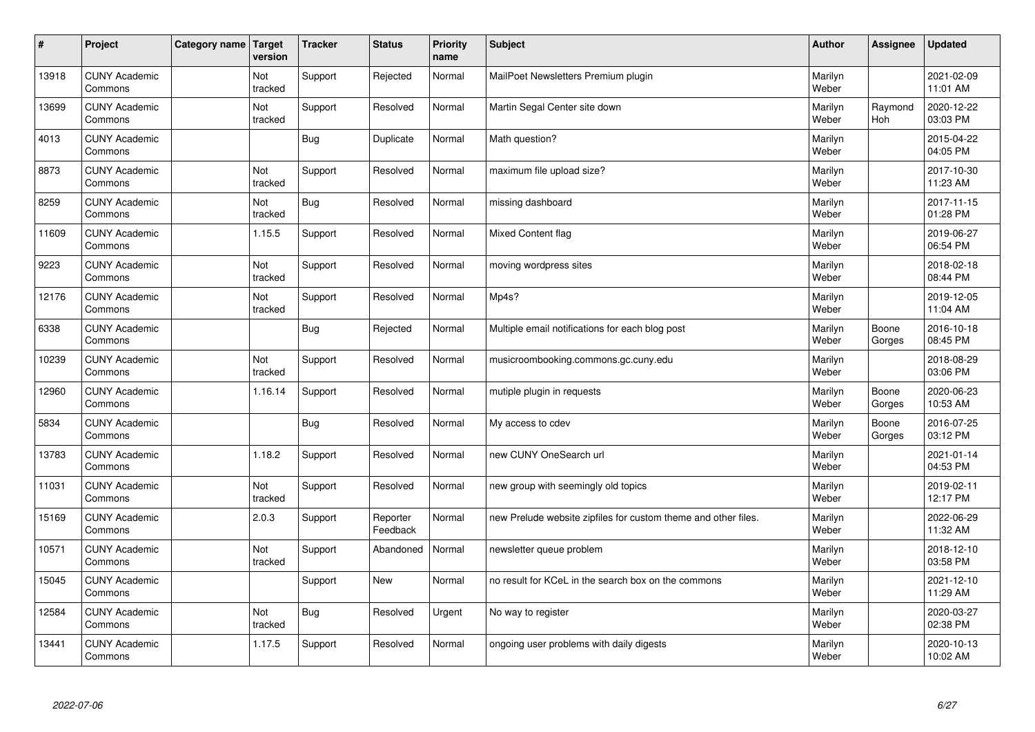| $\sharp$ | Project                         | Category name   Target | version        | <b>Tracker</b> | <b>Status</b>        | <b>Priority</b><br>name | <b>Subject</b>                                                 | <b>Author</b>    | <b>Assignee</b> | <b>Updated</b>         |
|----------|---------------------------------|------------------------|----------------|----------------|----------------------|-------------------------|----------------------------------------------------------------|------------------|-----------------|------------------------|
| 13918    | <b>CUNY Academic</b><br>Commons |                        | Not<br>tracked | Support        | Rejected             | Normal                  | MailPoet Newsletters Premium plugin                            | Marilyn<br>Weber |                 | 2021-02-09<br>11:01 AM |
| 13699    | <b>CUNY Academic</b><br>Commons |                        | Not<br>tracked | Support        | Resolved             | Normal                  | Martin Segal Center site down                                  | Marilyn<br>Weber | Raymond<br>Hoh  | 2020-12-22<br>03:03 PM |
| 4013     | <b>CUNY Academic</b><br>Commons |                        |                | Bug            | Duplicate            | Normal                  | Math question?                                                 | Marilyn<br>Weber |                 | 2015-04-22<br>04:05 PM |
| 8873     | <b>CUNY Academic</b><br>Commons |                        | Not<br>tracked | Support        | Resolved             | Normal                  | maximum file upload size?                                      | Marilyn<br>Weber |                 | 2017-10-30<br>11:23 AM |
| 8259     | <b>CUNY Academic</b><br>Commons |                        | Not<br>tracked | Bug            | Resolved             | Normal                  | missing dashboard                                              | Marilyn<br>Weber |                 | 2017-11-15<br>01:28 PM |
| 11609    | <b>CUNY Academic</b><br>Commons |                        | 1.15.5         | Support        | Resolved             | Normal                  | Mixed Content flag                                             | Marilyn<br>Weber |                 | 2019-06-27<br>06:54 PM |
| 9223     | <b>CUNY Academic</b><br>Commons |                        | Not<br>tracked | Support        | Resolved             | Normal                  | moving wordpress sites                                         | Marilyn<br>Weber |                 | 2018-02-18<br>08:44 PM |
| 12176    | <b>CUNY Academic</b><br>Commons |                        | Not<br>tracked | Support        | Resolved             | Normal                  | Mp4s?                                                          | Marilyn<br>Weber |                 | 2019-12-05<br>11:04 AM |
| 6338     | <b>CUNY Academic</b><br>Commons |                        |                | Bug            | Rejected             | Normal                  | Multiple email notifications for each blog post                | Marilyn<br>Weber | Boone<br>Gorges | 2016-10-18<br>08:45 PM |
| 10239    | <b>CUNY Academic</b><br>Commons |                        | Not<br>tracked | Support        | Resolved             | Normal                  | musicroombooking.commons.gc.cuny.edu                           | Marilyn<br>Weber |                 | 2018-08-29<br>03:06 PM |
| 12960    | <b>CUNY Academic</b><br>Commons |                        | 1.16.14        | Support        | Resolved             | Normal                  | mutiple plugin in requests                                     | Marilyn<br>Weber | Boone<br>Gorges | 2020-06-23<br>10:53 AM |
| 5834     | <b>CUNY Academic</b><br>Commons |                        |                | <b>Bug</b>     | Resolved             | Normal                  | My access to cdev                                              | Marilyn<br>Weber | Boone<br>Gorges | 2016-07-25<br>03:12 PM |
| 13783    | <b>CUNY Academic</b><br>Commons |                        | 1.18.2         | Support        | Resolved             | Normal                  | new CUNY OneSearch url                                         | Marilyn<br>Weber |                 | 2021-01-14<br>04:53 PM |
| 11031    | <b>CUNY Academic</b><br>Commons |                        | Not<br>tracked | Support        | Resolved             | Normal                  | new group with seemingly old topics                            | Marilyn<br>Weber |                 | 2019-02-11<br>12:17 PM |
| 15169    | <b>CUNY Academic</b><br>Commons |                        | 2.0.3          | Support        | Reporter<br>Feedback | Normal                  | new Prelude website zipfiles for custom theme and other files. | Marilyn<br>Weber |                 | 2022-06-29<br>11:32 AM |
| 10571    | <b>CUNY Academic</b><br>Commons |                        | Not<br>tracked | Support        | Abandoned            | Normal                  | newsletter queue problem                                       | Marilyn<br>Weber |                 | 2018-12-10<br>03:58 PM |
| 15045    | <b>CUNY Academic</b><br>Commons |                        |                | Support        | New                  | Normal                  | no result for KCeL in the search box on the commons            | Marilyn<br>Weber |                 | 2021-12-10<br>11:29 AM |
| 12584    | <b>CUNY Academic</b><br>Commons |                        | Not<br>tracked | <b>Bug</b>     | Resolved             | Urgent                  | No way to register                                             | Marilyn<br>Weber |                 | 2020-03-27<br>02:38 PM |
| 13441    | <b>CUNY Academic</b><br>Commons |                        | 1.17.5         | Support        | Resolved             | Normal                  | ongoing user problems with daily digests                       | Marilyn<br>Weber |                 | 2020-10-13<br>10:02 AM |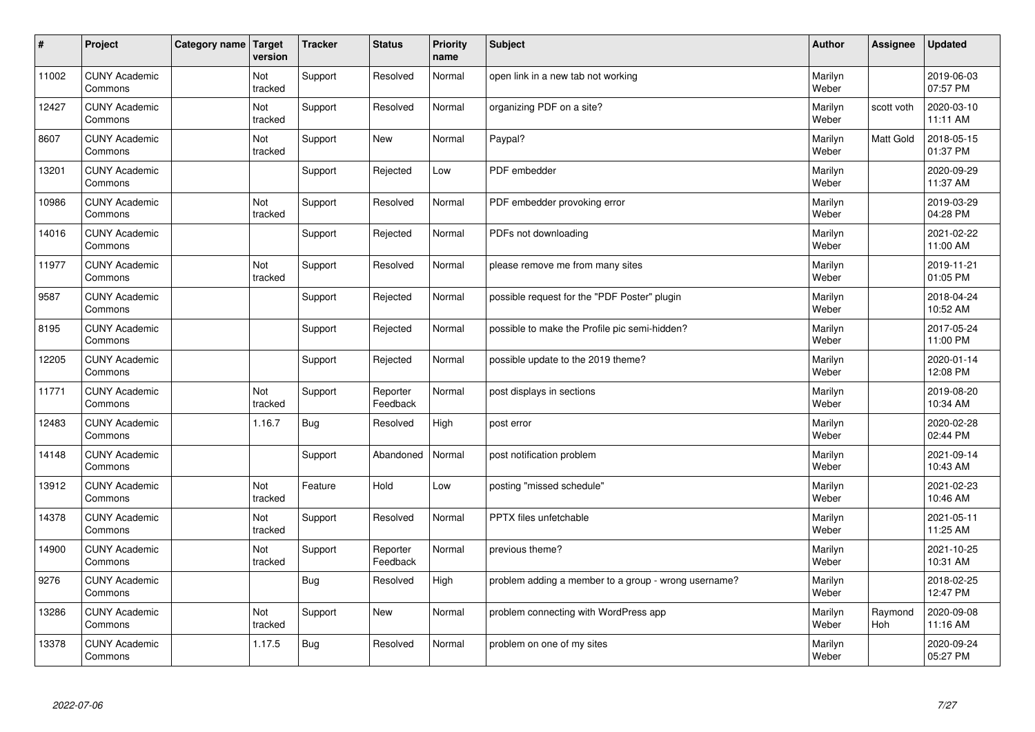| $\vert$ # | Project                         | Category name   Target | version        | <b>Tracker</b> | <b>Status</b>        | <b>Priority</b><br>name | <b>Subject</b>                                       | <b>Author</b>    | Assignee       | <b>Updated</b>         |
|-----------|---------------------------------|------------------------|----------------|----------------|----------------------|-------------------------|------------------------------------------------------|------------------|----------------|------------------------|
| 11002     | <b>CUNY Academic</b><br>Commons |                        | Not<br>tracked | Support        | Resolved             | Normal                  | open link in a new tab not working                   | Marilyn<br>Weber |                | 2019-06-03<br>07:57 PM |
| 12427     | <b>CUNY Academic</b><br>Commons |                        | Not<br>tracked | Support        | Resolved             | Normal                  | organizing PDF on a site?                            | Marilyn<br>Weber | scott voth     | 2020-03-10<br>11:11 AM |
| 8607      | <b>CUNY Academic</b><br>Commons |                        | Not<br>tracked | Support        | <b>New</b>           | Normal                  | Paypal?                                              | Marilyn<br>Weber | Matt Gold      | 2018-05-15<br>01:37 PM |
| 13201     | <b>CUNY Academic</b><br>Commons |                        |                | Support        | Rejected             | Low                     | PDF embedder                                         | Marilyn<br>Weber |                | 2020-09-29<br>11:37 AM |
| 10986     | <b>CUNY Academic</b><br>Commons |                        | Not<br>tracked | Support        | Resolved             | Normal                  | PDF embedder provoking error                         | Marilyn<br>Weber |                | 2019-03-29<br>04:28 PM |
| 14016     | <b>CUNY Academic</b><br>Commons |                        |                | Support        | Rejected             | Normal                  | PDFs not downloading                                 | Marilyn<br>Weber |                | 2021-02-22<br>11:00 AM |
| 11977     | <b>CUNY Academic</b><br>Commons |                        | Not<br>tracked | Support        | Resolved             | Normal                  | please remove me from many sites                     | Marilyn<br>Weber |                | 2019-11-21<br>01:05 PM |
| 9587      | <b>CUNY Academic</b><br>Commons |                        |                | Support        | Rejected             | Normal                  | possible request for the "PDF Poster" plugin         | Marilyn<br>Weber |                | 2018-04-24<br>10:52 AM |
| 8195      | <b>CUNY Academic</b><br>Commons |                        |                | Support        | Rejected             | Normal                  | possible to make the Profile pic semi-hidden?        | Marilyn<br>Weber |                | 2017-05-24<br>11:00 PM |
| 12205     | <b>CUNY Academic</b><br>Commons |                        |                | Support        | Rejected             | Normal                  | possible update to the 2019 theme?                   | Marilyn<br>Weber |                | 2020-01-14<br>12:08 PM |
| 11771     | <b>CUNY Academic</b><br>Commons |                        | Not<br>tracked | Support        | Reporter<br>Feedback | Normal                  | post displays in sections                            | Marilyn<br>Weber |                | 2019-08-20<br>10:34 AM |
| 12483     | <b>CUNY Academic</b><br>Commons |                        | 1.16.7         | Bug            | Resolved             | High                    | post error                                           | Marilyn<br>Weber |                | 2020-02-28<br>02:44 PM |
| 14148     | <b>CUNY Academic</b><br>Commons |                        |                | Support        | Abandoned            | Normal                  | post notification problem                            | Marilyn<br>Weber |                | 2021-09-14<br>10:43 AM |
| 13912     | <b>CUNY Academic</b><br>Commons |                        | Not<br>tracked | Feature        | Hold                 | Low                     | posting "missed schedule"                            | Marilyn<br>Weber |                | 2021-02-23<br>10:46 AM |
| 14378     | <b>CUNY Academic</b><br>Commons |                        | Not<br>tracked | Support        | Resolved             | Normal                  | <b>PPTX</b> files unfetchable                        | Marilyn<br>Weber |                | 2021-05-11<br>11:25 AM |
| 14900     | <b>CUNY Academic</b><br>Commons |                        | Not<br>tracked | Support        | Reporter<br>Feedback | Normal                  | previous theme?                                      | Marilyn<br>Weber |                | 2021-10-25<br>10:31 AM |
| 9276      | <b>CUNY Academic</b><br>Commons |                        |                | Bug            | Resolved             | High                    | problem adding a member to a group - wrong username? | Marilyn<br>Weber |                | 2018-02-25<br>12:47 PM |
| 13286     | <b>CUNY Academic</b><br>Commons |                        | Not<br>tracked | Support        | <b>New</b>           | Normal                  | problem connecting with WordPress app                | Marilyn<br>Weber | Raymond<br>Hoh | 2020-09-08<br>11:16 AM |
| 13378     | <b>CUNY Academic</b><br>Commons |                        | 1.17.5         | Bug            | Resolved             | Normal                  | problem on one of my sites                           | Marilyn<br>Weber |                | 2020-09-24<br>05:27 PM |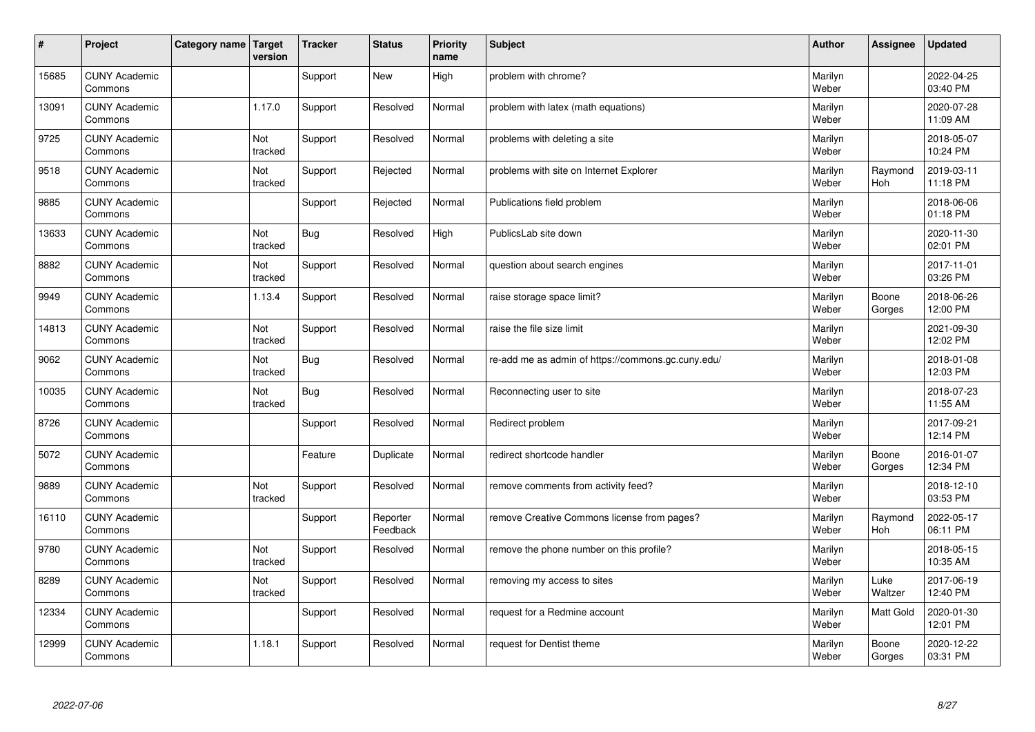| #     | Project                         | Category name   Target | version        | <b>Tracker</b> | <b>Status</b>        | <b>Priority</b><br>name | <b>Subject</b>                                     | <b>Author</b>    | <b>Assignee</b> | <b>Updated</b>         |
|-------|---------------------------------|------------------------|----------------|----------------|----------------------|-------------------------|----------------------------------------------------|------------------|-----------------|------------------------|
| 15685 | <b>CUNY Academic</b><br>Commons |                        |                | Support        | <b>New</b>           | High                    | problem with chrome?                               | Marilyn<br>Weber |                 | 2022-04-25<br>03:40 PM |
| 13091 | <b>CUNY Academic</b><br>Commons |                        | 1.17.0         | Support        | Resolved             | Normal                  | problem with latex (math equations)                | Marilyn<br>Weber |                 | 2020-07-28<br>11:09 AM |
| 9725  | <b>CUNY Academic</b><br>Commons |                        | Not<br>tracked | Support        | Resolved             | Normal                  | problems with deleting a site                      | Marilyn<br>Weber |                 | 2018-05-07<br>10:24 PM |
| 9518  | <b>CUNY Academic</b><br>Commons |                        | Not<br>tracked | Support        | Rejected             | Normal                  | problems with site on Internet Explorer            | Marilyn<br>Weber | Raymond<br>Hoh  | 2019-03-11<br>11:18 PM |
| 9885  | <b>CUNY Academic</b><br>Commons |                        |                | Support        | Rejected             | Normal                  | Publications field problem                         | Marilyn<br>Weber |                 | 2018-06-06<br>01:18 PM |
| 13633 | <b>CUNY Academic</b><br>Commons |                        | Not<br>tracked | <b>Bug</b>     | Resolved             | High                    | PublicsLab site down                               | Marilyn<br>Weber |                 | 2020-11-30<br>02:01 PM |
| 8882  | <b>CUNY Academic</b><br>Commons |                        | Not<br>tracked | Support        | Resolved             | Normal                  | question about search engines                      | Marilyn<br>Weber |                 | 2017-11-01<br>03:26 PM |
| 9949  | <b>CUNY Academic</b><br>Commons |                        | 1.13.4         | Support        | Resolved             | Normal                  | raise storage space limit?                         | Marilyn<br>Weber | Boone<br>Gorges | 2018-06-26<br>12:00 PM |
| 14813 | <b>CUNY Academic</b><br>Commons |                        | Not<br>tracked | Support        | Resolved             | Normal                  | raise the file size limit                          | Marilyn<br>Weber |                 | 2021-09-30<br>12:02 PM |
| 9062  | <b>CUNY Academic</b><br>Commons |                        | Not<br>tracked | <b>Bug</b>     | Resolved             | Normal                  | re-add me as admin of https://commons.gc.cuny.edu/ | Marilyn<br>Weber |                 | 2018-01-08<br>12:03 PM |
| 10035 | <b>CUNY Academic</b><br>Commons |                        | Not<br>tracked | <b>Bug</b>     | Resolved             | Normal                  | Reconnecting user to site                          | Marilyn<br>Weber |                 | 2018-07-23<br>11:55 AM |
| 8726  | <b>CUNY Academic</b><br>Commons |                        |                | Support        | Resolved             | Normal                  | Redirect problem                                   | Marilyn<br>Weber |                 | 2017-09-21<br>12:14 PM |
| 5072  | <b>CUNY Academic</b><br>Commons |                        |                | Feature        | Duplicate            | Normal                  | redirect shortcode handler                         | Marilyn<br>Weber | Boone<br>Gorges | 2016-01-07<br>12:34 PM |
| 9889  | <b>CUNY Academic</b><br>Commons |                        | Not<br>tracked | Support        | Resolved             | Normal                  | remove comments from activity feed?                | Marilyn<br>Weber |                 | 2018-12-10<br>03:53 PM |
| 16110 | <b>CUNY Academic</b><br>Commons |                        |                | Support        | Reporter<br>Feedback | Normal                  | remove Creative Commons license from pages?        | Marilyn<br>Weber | Raymond<br>Hoh  | 2022-05-17<br>06:11 PM |
| 9780  | <b>CUNY Academic</b><br>Commons |                        | Not<br>tracked | Support        | Resolved             | Normal                  | remove the phone number on this profile?           | Marilyn<br>Weber |                 | 2018-05-15<br>10:35 AM |
| 8289  | <b>CUNY Academic</b><br>Commons |                        | Not<br>tracked | Support        | Resolved             | Normal                  | removing my access to sites                        | Marilyn<br>Weber | Luke<br>Waltzer | 2017-06-19<br>12:40 PM |
| 12334 | <b>CUNY Academic</b><br>Commons |                        |                | Support        | Resolved             | Normal                  | request for a Redmine account                      | Marilyn<br>Weber | Matt Gold       | 2020-01-30<br>12:01 PM |
| 12999 | <b>CUNY Academic</b><br>Commons |                        | 1.18.1         | Support        | Resolved             | Normal                  | request for Dentist theme                          | Marilyn<br>Weber | Boone<br>Gorges | 2020-12-22<br>03:31 PM |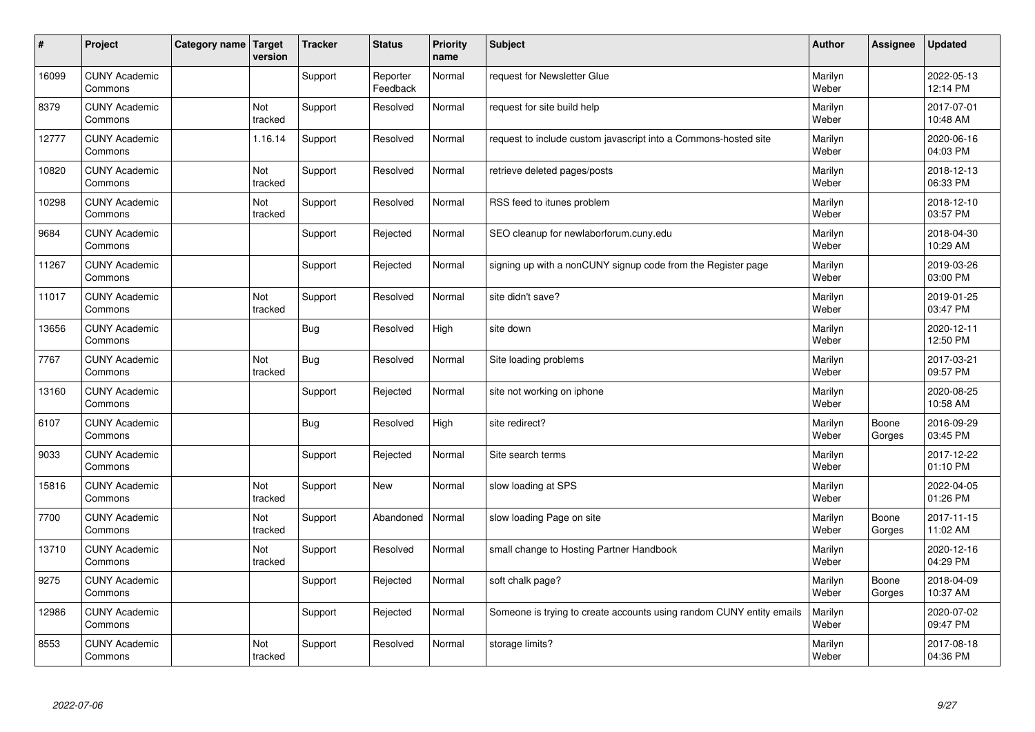| $\vert$ # | Project                         | Category name Target | version        | <b>Tracker</b> | <b>Status</b>        | <b>Priority</b><br>name | <b>Subject</b>                                                       | <b>Author</b>    | <b>Assignee</b> | <b>Updated</b>         |
|-----------|---------------------------------|----------------------|----------------|----------------|----------------------|-------------------------|----------------------------------------------------------------------|------------------|-----------------|------------------------|
| 16099     | <b>CUNY Academic</b><br>Commons |                      |                | Support        | Reporter<br>Feedback | Normal                  | request for Newsletter Glue                                          | Marilyn<br>Weber |                 | 2022-05-13<br>12:14 PM |
| 8379      | <b>CUNY Academic</b><br>Commons |                      | Not<br>tracked | Support        | Resolved             | Normal                  | request for site build help                                          | Marilyn<br>Weber |                 | 2017-07-01<br>10:48 AM |
| 12777     | <b>CUNY Academic</b><br>Commons |                      | 1.16.14        | Support        | Resolved             | Normal                  | request to include custom javascript into a Commons-hosted site      | Marilyn<br>Weber |                 | 2020-06-16<br>04:03 PM |
| 10820     | <b>CUNY Academic</b><br>Commons |                      | Not<br>tracked | Support        | Resolved             | Normal                  | retrieve deleted pages/posts                                         | Marilyn<br>Weber |                 | 2018-12-13<br>06:33 PM |
| 10298     | <b>CUNY Academic</b><br>Commons |                      | Not<br>tracked | Support        | Resolved             | Normal                  | RSS feed to itunes problem                                           | Marilyn<br>Weber |                 | 2018-12-10<br>03:57 PM |
| 9684      | <b>CUNY Academic</b><br>Commons |                      |                | Support        | Rejected             | Normal                  | SEO cleanup for newlaborforum.cuny.edu                               | Marilyn<br>Weber |                 | 2018-04-30<br>10:29 AM |
| 11267     | <b>CUNY Academic</b><br>Commons |                      |                | Support        | Rejected             | Normal                  | signing up with a nonCUNY signup code from the Register page         | Marilyn<br>Weber |                 | 2019-03-26<br>03:00 PM |
| 11017     | <b>CUNY Academic</b><br>Commons |                      | Not<br>tracked | Support        | Resolved             | Normal                  | site didn't save?                                                    | Marilyn<br>Weber |                 | 2019-01-25<br>03:47 PM |
| 13656     | <b>CUNY Academic</b><br>Commons |                      |                | Bug            | Resolved             | High                    | site down                                                            | Marilyn<br>Weber |                 | 2020-12-11<br>12:50 PM |
| 7767      | <b>CUNY Academic</b><br>Commons |                      | Not<br>tracked | <b>Bug</b>     | Resolved             | Normal                  | Site loading problems                                                | Marilyn<br>Weber |                 | 2017-03-21<br>09:57 PM |
| 13160     | <b>CUNY Academic</b><br>Commons |                      |                | Support        | Rejected             | Normal                  | site not working on iphone                                           | Marilyn<br>Weber |                 | 2020-08-25<br>10:58 AM |
| 6107      | <b>CUNY Academic</b><br>Commons |                      |                | Bug            | Resolved             | High                    | site redirect?                                                       | Marilyn<br>Weber | Boone<br>Gorges | 2016-09-29<br>03:45 PM |
| 9033      | <b>CUNY Academic</b><br>Commons |                      |                | Support        | Rejected             | Normal                  | Site search terms                                                    | Marilyn<br>Weber |                 | 2017-12-22<br>01:10 PM |
| 15816     | <b>CUNY Academic</b><br>Commons |                      | Not<br>tracked | Support        | <b>New</b>           | Normal                  | slow loading at SPS                                                  | Marilyn<br>Weber |                 | 2022-04-05<br>01:26 PM |
| 7700      | <b>CUNY Academic</b><br>Commons |                      | Not<br>tracked | Support        | Abandoned            | Normal                  | slow loading Page on site                                            | Marilyn<br>Weber | Boone<br>Gorges | 2017-11-15<br>11:02 AM |
| 13710     | <b>CUNY Academic</b><br>Commons |                      | Not<br>tracked | Support        | Resolved             | Normal                  | small change to Hosting Partner Handbook                             | Marilyn<br>Weber |                 | 2020-12-16<br>04:29 PM |
| 9275      | <b>CUNY Academic</b><br>Commons |                      |                | Support        | Rejected             | Normal                  | soft chalk page?                                                     | Marilyn<br>Weber | Boone<br>Gorges | 2018-04-09<br>10:37 AM |
| 12986     | <b>CUNY Academic</b><br>Commons |                      |                | Support        | Rejected             | Normal                  | Someone is trying to create accounts using random CUNY entity emails | Marilyn<br>Weber |                 | 2020-07-02<br>09:47 PM |
| 8553      | <b>CUNY Academic</b><br>Commons |                      | Not<br>tracked | Support        | Resolved             | Normal                  | storage limits?                                                      | Marilyn<br>Weber |                 | 2017-08-18<br>04:36 PM |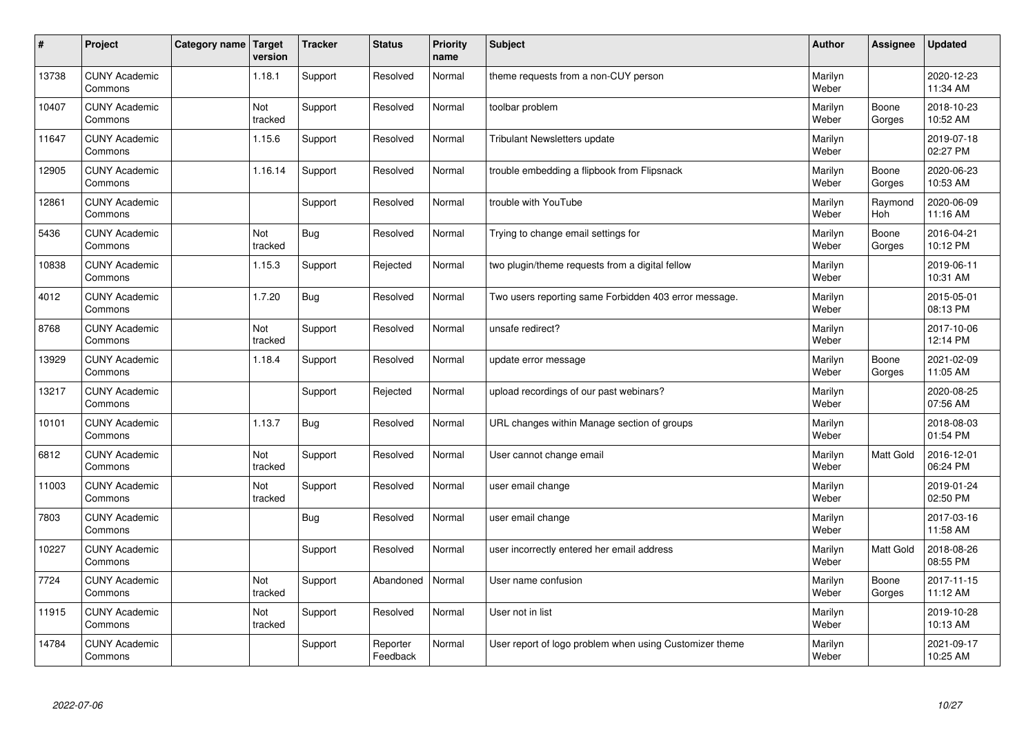| $\vert$ # | Project                         | Category name   Target | version        | <b>Tracker</b> | <b>Status</b>        | <b>Priority</b><br>name | <b>Subject</b>                                          | <b>Author</b>    | Assignee         | <b>Updated</b>         |
|-----------|---------------------------------|------------------------|----------------|----------------|----------------------|-------------------------|---------------------------------------------------------|------------------|------------------|------------------------|
| 13738     | <b>CUNY Academic</b><br>Commons |                        | 1.18.1         | Support        | Resolved             | Normal                  | theme requests from a non-CUY person                    | Marilyn<br>Weber |                  | 2020-12-23<br>11:34 AM |
| 10407     | <b>CUNY Academic</b><br>Commons |                        | Not<br>tracked | Support        | Resolved             | Normal                  | toolbar problem                                         | Marilyn<br>Weber | Boone<br>Gorges  | 2018-10-23<br>10:52 AM |
| 11647     | <b>CUNY Academic</b><br>Commons |                        | 1.15.6         | Support        | Resolved             | Normal                  | <b>Tribulant Newsletters update</b>                     | Marilyn<br>Weber |                  | 2019-07-18<br>02:27 PM |
| 12905     | <b>CUNY Academic</b><br>Commons |                        | 1.16.14        | Support        | Resolved             | Normal                  | trouble embedding a flipbook from Flipsnack             | Marilyn<br>Weber | Boone<br>Gorges  | 2020-06-23<br>10:53 AM |
| 12861     | <b>CUNY Academic</b><br>Commons |                        |                | Support        | Resolved             | Normal                  | trouble with YouTube                                    | Marilyn<br>Weber | Raymond<br>Hoh   | 2020-06-09<br>11:16 AM |
| 5436      | <b>CUNY Academic</b><br>Commons |                        | Not<br>tracked | Bug            | Resolved             | Normal                  | Trying to change email settings for                     | Marilyn<br>Weber | Boone<br>Gorges  | 2016-04-21<br>10:12 PM |
| 10838     | <b>CUNY Academic</b><br>Commons |                        | 1.15.3         | Support        | Rejected             | Normal                  | two plugin/theme requests from a digital fellow         | Marilyn<br>Weber |                  | 2019-06-11<br>10:31 AM |
| 4012      | <b>CUNY Academic</b><br>Commons |                        | 1.7.20         | Bug            | Resolved             | Normal                  | Two users reporting same Forbidden 403 error message.   | Marilyn<br>Weber |                  | 2015-05-01<br>08:13 PM |
| 8768      | <b>CUNY Academic</b><br>Commons |                        | Not<br>tracked | Support        | Resolved             | Normal                  | unsafe redirect?                                        | Marilyn<br>Weber |                  | 2017-10-06<br>12:14 PM |
| 13929     | <b>CUNY Academic</b><br>Commons |                        | 1.18.4         | Support        | Resolved             | Normal                  | update error message                                    | Marilyn<br>Weber | Boone<br>Gorges  | 2021-02-09<br>11:05 AM |
| 13217     | <b>CUNY Academic</b><br>Commons |                        |                | Support        | Rejected             | Normal                  | upload recordings of our past webinars?                 | Marilyn<br>Weber |                  | 2020-08-25<br>07:56 AM |
| 10101     | <b>CUNY Academic</b><br>Commons |                        | 1.13.7         | Bug            | Resolved             | Normal                  | URL changes within Manage section of groups             | Marilyn<br>Weber |                  | 2018-08-03<br>01:54 PM |
| 6812      | <b>CUNY Academic</b><br>Commons |                        | Not<br>tracked | Support        | Resolved             | Normal                  | User cannot change email                                | Marilyn<br>Weber | Matt Gold        | 2016-12-01<br>06:24 PM |
| 11003     | <b>CUNY Academic</b><br>Commons |                        | Not<br>tracked | Support        | Resolved             | Normal                  | user email change                                       | Marilyn<br>Weber |                  | 2019-01-24<br>02:50 PM |
| 7803      | <b>CUNY Academic</b><br>Commons |                        |                | <b>Bug</b>     | Resolved             | Normal                  | user email change                                       | Marilyn<br>Weber |                  | 2017-03-16<br>11:58 AM |
| 10227     | <b>CUNY Academic</b><br>Commons |                        |                | Support        | Resolved             | Normal                  | user incorrectly entered her email address              | Marilyn<br>Weber | <b>Matt Gold</b> | 2018-08-26<br>08:55 PM |
| 7724      | <b>CUNY Academic</b><br>Commons |                        | Not<br>tracked | Support        | Abandoned            | Normal                  | User name confusion                                     | Marilyn<br>Weber | Boone<br>Gorges  | 2017-11-15<br>11:12 AM |
| 11915     | <b>CUNY Academic</b><br>Commons |                        | Not<br>tracked | Support        | Resolved             | Normal                  | User not in list                                        | Marilyn<br>Weber |                  | 2019-10-28<br>10:13 AM |
| 14784     | <b>CUNY Academic</b><br>Commons |                        |                | Support        | Reporter<br>Feedback | Normal                  | User report of logo problem when using Customizer theme | Marilyn<br>Weber |                  | 2021-09-17<br>10:25 AM |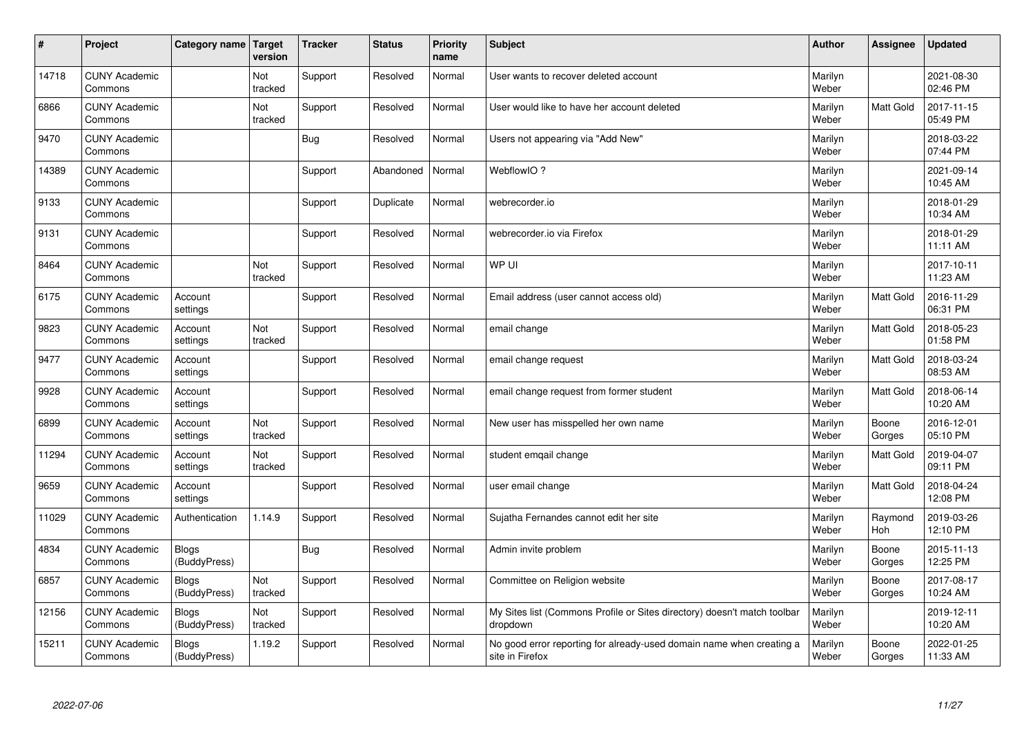| $\sharp$ | Project                         | Category name   Target       | version        | <b>Tracker</b> | <b>Status</b> | <b>Priority</b><br>name | <b>Subject</b>                                                                          | <b>Author</b>    | Assignee         | <b>Updated</b>         |
|----------|---------------------------------|------------------------------|----------------|----------------|---------------|-------------------------|-----------------------------------------------------------------------------------------|------------------|------------------|------------------------|
| 14718    | <b>CUNY Academic</b><br>Commons |                              | Not<br>tracked | Support        | Resolved      | Normal                  | User wants to recover deleted account                                                   | Marilyn<br>Weber |                  | 2021-08-30<br>02:46 PM |
| 6866     | <b>CUNY Academic</b><br>Commons |                              | Not<br>tracked | Support        | Resolved      | Normal                  | User would like to have her account deleted                                             | Marilyn<br>Weber | <b>Matt Gold</b> | 2017-11-15<br>05:49 PM |
| 9470     | <b>CUNY Academic</b><br>Commons |                              |                | Bug            | Resolved      | Normal                  | Users not appearing via "Add New"                                                       | Marilyn<br>Weber |                  | 2018-03-22<br>07:44 PM |
| 14389    | <b>CUNY Academic</b><br>Commons |                              |                | Support        | Abandoned     | Normal                  | WebflowIO?                                                                              | Marilyn<br>Weber |                  | 2021-09-14<br>10:45 AM |
| 9133     | <b>CUNY Academic</b><br>Commons |                              |                | Support        | Duplicate     | Normal                  | webrecorder.io                                                                          | Marilyn<br>Weber |                  | 2018-01-29<br>10:34 AM |
| 9131     | <b>CUNY Academic</b><br>Commons |                              |                | Support        | Resolved      | Normal                  | webrecorder.io via Firefox                                                              | Marilyn<br>Weber |                  | 2018-01-29<br>11:11 AM |
| 8464     | <b>CUNY Academic</b><br>Commons |                              | Not<br>tracked | Support        | Resolved      | Normal                  | WP UI                                                                                   | Marilyn<br>Weber |                  | 2017-10-11<br>11:23 AM |
| 6175     | <b>CUNY Academic</b><br>Commons | Account<br>settings          |                | Support        | Resolved      | Normal                  | Email address (user cannot access old)                                                  | Marilyn<br>Weber | Matt Gold        | 2016-11-29<br>06:31 PM |
| 9823     | <b>CUNY Academic</b><br>Commons | Account<br>settings          | Not<br>tracked | Support        | Resolved      | Normal                  | email change                                                                            | Marilyn<br>Weber | <b>Matt Gold</b> | 2018-05-23<br>01:58 PM |
| 9477     | <b>CUNY Academic</b><br>Commons | Account<br>settings          |                | Support        | Resolved      | Normal                  | email change request                                                                    | Marilyn<br>Weber | <b>Matt Gold</b> | 2018-03-24<br>08:53 AM |
| 9928     | <b>CUNY Academic</b><br>Commons | Account<br>settings          |                | Support        | Resolved      | Normal                  | email change request from former student                                                | Marilyn<br>Weber | Matt Gold        | 2018-06-14<br>10:20 AM |
| 6899     | <b>CUNY Academic</b><br>Commons | Account<br>settings          | Not<br>tracked | Support        | Resolved      | Normal                  | New user has misspelled her own name                                                    | Marilyn<br>Weber | Boone<br>Gorges  | 2016-12-01<br>05:10 PM |
| 11294    | <b>CUNY Academic</b><br>Commons | Account<br>settings          | Not<br>tracked | Support        | Resolved      | Normal                  | student emgail change                                                                   | Marilyn<br>Weber | <b>Matt Gold</b> | 2019-04-07<br>09:11 PM |
| 9659     | <b>CUNY Academic</b><br>Commons | Account<br>settings          |                | Support        | Resolved      | Normal                  | user email change                                                                       | Marilyn<br>Weber | <b>Matt Gold</b> | 2018-04-24<br>12:08 PM |
| 11029    | <b>CUNY Academic</b><br>Commons | Authentication               | 1.14.9         | Support        | Resolved      | Normal                  | Sujatha Fernandes cannot edit her site                                                  | Marilyn<br>Weber | Raymond<br>Hoh   | 2019-03-26<br>12:10 PM |
| 4834     | <b>CUNY Academic</b><br>Commons | <b>Blogs</b><br>(BuddyPress) |                | Bug            | Resolved      | Normal                  | Admin invite problem                                                                    | Marilyn<br>Weber | Boone<br>Gorges  | 2015-11-13<br>12:25 PM |
| 6857     | <b>CUNY Academic</b><br>Commons | <b>Blogs</b><br>(BuddyPress) | Not<br>tracked | Support        | Resolved      | Normal                  | Committee on Religion website                                                           | Marilyn<br>Weber | Boone<br>Gorges  | 2017-08-17<br>10:24 AM |
| 12156    | <b>CUNY Academic</b><br>Commons | <b>Blogs</b><br>(BuddyPress) | Not<br>tracked | Support        | Resolved      | Normal                  | My Sites list (Commons Profile or Sites directory) doesn't match toolbar<br>dropdown    | Marilyn<br>Weber |                  | 2019-12-11<br>10:20 AM |
| 15211    | <b>CUNY Academic</b><br>Commons | <b>Blogs</b><br>(BuddyPress) | 1.19.2         | Support        | Resolved      | Normal                  | No good error reporting for already-used domain name when creating a<br>site in Firefox | Marilyn<br>Weber | Boone<br>Gorges  | 2022-01-25<br>11:33 AM |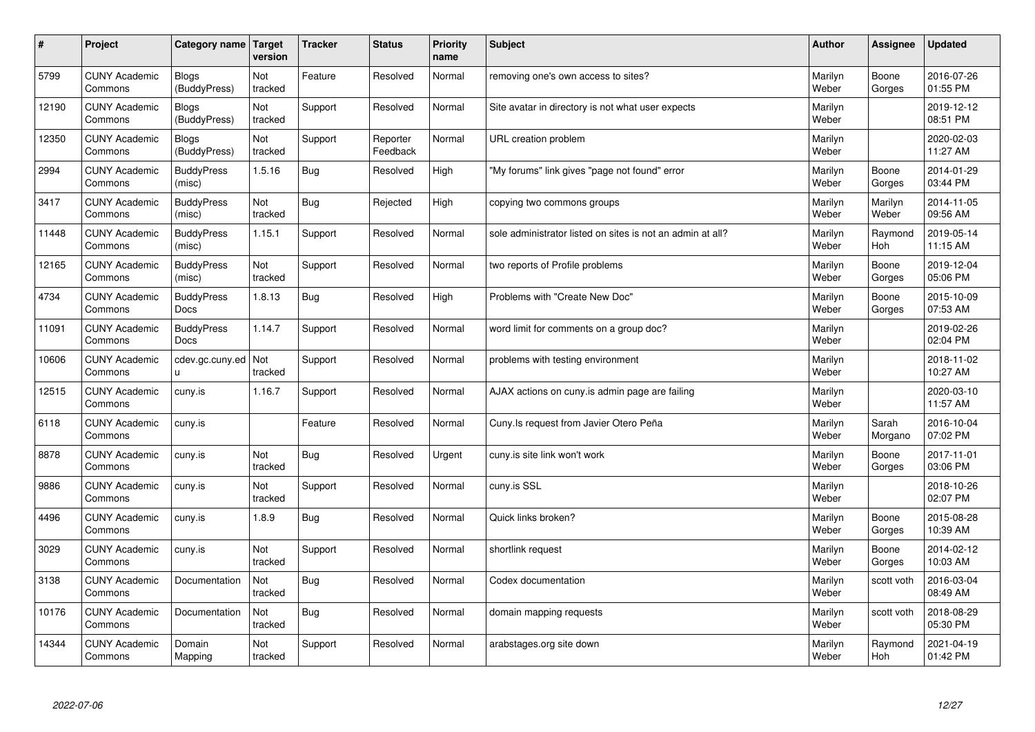| #     | Project                         | Category name   Target           | version        | <b>Tracker</b> | <b>Status</b>        | <b>Priority</b><br>name | <b>Subject</b>                                             | <b>Author</b>    | Assignee         | Updated                |
|-------|---------------------------------|----------------------------------|----------------|----------------|----------------------|-------------------------|------------------------------------------------------------|------------------|------------------|------------------------|
| 5799  | <b>CUNY Academic</b><br>Commons | <b>Blogs</b><br>(BuddyPress)     | Not<br>tracked | Feature        | Resolved             | Normal                  | removing one's own access to sites?                        | Marilyn<br>Weber | Boone<br>Gorges  | 2016-07-26<br>01:55 PM |
| 12190 | <b>CUNY Academic</b><br>Commons | Blogs<br>(BuddyPress)            | Not<br>tracked | Support        | Resolved             | Normal                  | Site avatar in directory is not what user expects          | Marilyn<br>Weber |                  | 2019-12-12<br>08:51 PM |
| 12350 | <b>CUNY Academic</b><br>Commons | <b>Blogs</b><br>(BuddyPress)     | Not<br>tracked | Support        | Reporter<br>Feedback | Normal                  | URL creation problem                                       | Marilyn<br>Weber |                  | 2020-02-03<br>11:27 AM |
| 2994  | <b>CUNY Academic</b><br>Commons | <b>BuddyPress</b><br>(misc)      | 1.5.16         | <b>Bug</b>     | Resolved             | High                    | "My forums" link gives "page not found" error              | Marilyn<br>Weber | Boone<br>Gorges  | 2014-01-29<br>03:44 PM |
| 3417  | <b>CUNY Academic</b><br>Commons | <b>BuddyPress</b><br>(misc)      | Not<br>tracked | Bug            | Rejected             | High                    | copying two commons groups                                 | Marilyn<br>Weber | Marilyn<br>Weber | 2014-11-05<br>09:56 AM |
| 11448 | <b>CUNY Academic</b><br>Commons | <b>BuddyPress</b><br>(misc)      | 1.15.1         | Support        | Resolved             | Normal                  | sole administrator listed on sites is not an admin at all? | Marilyn<br>Weber | Raymond<br>Hoh   | 2019-05-14<br>11:15 AM |
| 12165 | <b>CUNY Academic</b><br>Commons | <b>BuddyPress</b><br>(misc)      | Not<br>tracked | Support        | Resolved             | Normal                  | two reports of Profile problems                            | Marilyn<br>Weber | Boone<br>Gorges  | 2019-12-04<br>05:06 PM |
| 4734  | <b>CUNY Academic</b><br>Commons | <b>BuddyPress</b><br>Docs        | 1.8.13         | Bug            | Resolved             | High                    | Problems with "Create New Doc"                             | Marilyn<br>Weber | Boone<br>Gorges  | 2015-10-09<br>07:53 AM |
| 11091 | <b>CUNY Academic</b><br>Commons | <b>BuddyPress</b><br><b>Docs</b> | 1.14.7         | Support        | Resolved             | Normal                  | word limit for comments on a group doc?                    | Marilyn<br>Weber |                  | 2019-02-26<br>02:04 PM |
| 10606 | <b>CUNY Academic</b><br>Commons | cdev.gc.cuny.ed<br>u.            | Not<br>tracked | Support        | Resolved             | Normal                  | problems with testing environment                          | Marilyn<br>Weber |                  | 2018-11-02<br>10:27 AM |
| 12515 | <b>CUNY Academic</b><br>Commons | cuny.is                          | 1.16.7         | Support        | Resolved             | Normal                  | AJAX actions on cuny is admin page are failing             | Marilyn<br>Weber |                  | 2020-03-10<br>11:57 AM |
| 6118  | <b>CUNY Academic</b><br>Commons | cuny.is                          |                | Feature        | Resolved             | Normal                  | Cuny. Is request from Javier Otero Peña                    | Marilyn<br>Weber | Sarah<br>Morgano | 2016-10-04<br>07:02 PM |
| 8878  | <b>CUNY Academic</b><br>Commons | cuny.is                          | Not<br>tracked | <b>Bug</b>     | Resolved             | Urgent                  | cuny is site link won't work                               | Marilyn<br>Weber | Boone<br>Gorges  | 2017-11-01<br>03:06 PM |
| 9886  | <b>CUNY Academic</b><br>Commons | cuny.is                          | Not<br>tracked | Support        | Resolved             | Normal                  | cuny.is SSL                                                | Marilyn<br>Weber |                  | 2018-10-26<br>02:07 PM |
| 4496  | <b>CUNY Academic</b><br>Commons | cuny.is                          | 1.8.9          | <b>Bug</b>     | Resolved             | Normal                  | Quick links broken?                                        | Marilyn<br>Weber | Boone<br>Gorges  | 2015-08-28<br>10:39 AM |
| 3029  | <b>CUNY Academic</b><br>Commons | cuny.is                          | Not<br>tracked | Support        | Resolved             | Normal                  | shortlink request                                          | Marilyn<br>Weber | Boone<br>Gorges  | 2014-02-12<br>10:03 AM |
| 3138  | <b>CUNY Academic</b><br>Commons | Documentation                    | Not<br>tracked | Bug            | Resolved             | Normal                  | Codex documentation                                        | Marilyn<br>Weber | scott voth       | 2016-03-04<br>08:49 AM |
| 10176 | <b>CUNY Academic</b><br>Commons | Documentation                    | Not<br>tracked | Bug            | Resolved             | Normal                  | domain mapping requests                                    | Marilyn<br>Weber | scott voth       | 2018-08-29<br>05:30 PM |
| 14344 | <b>CUNY Academic</b><br>Commons | Domain<br>Mapping                | Not<br>tracked | Support        | Resolved             | Normal                  | arabstages.org site down                                   | Marilyn<br>Weber | Raymond<br>Hoh   | 2021-04-19<br>01:42 PM |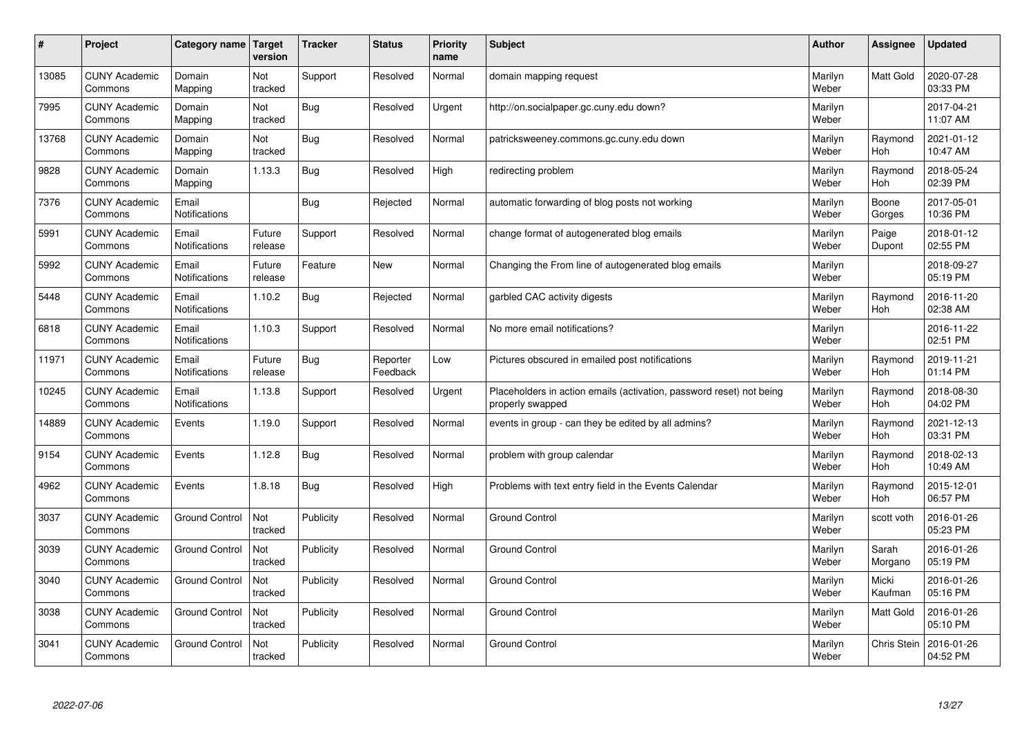| #     | Project                         | Category name   Target        | version           | <b>Tracker</b> | <b>Status</b>        | Priority<br>name | <b>Subject</b>                                                                           | <b>Author</b>    | <b>Assignee</b>       | <b>Updated</b>         |
|-------|---------------------------------|-------------------------------|-------------------|----------------|----------------------|------------------|------------------------------------------------------------------------------------------|------------------|-----------------------|------------------------|
| 13085 | <b>CUNY Academic</b><br>Commons | Domain<br>Mapping             | Not<br>tracked    | Support        | Resolved             | Normal           | domain mapping request                                                                   | Marilyn<br>Weber | <b>Matt Gold</b>      | 2020-07-28<br>03:33 PM |
| 7995  | <b>CUNY Academic</b><br>Commons | Domain<br>Mapping             | Not<br>tracked    | Bug            | Resolved             | Urgent           | http://on.socialpaper.gc.cuny.edu down?                                                  | Marilyn<br>Weber |                       | 2017-04-21<br>11:07 AM |
| 13768 | <b>CUNY Academic</b><br>Commons | Domain<br>Mapping             | Not<br>tracked    | Bug            | Resolved             | Normal           | patricksweeney.commons.gc.cuny.edu down                                                  | Marilyn<br>Weber | Raymond<br>Hoh        | 2021-01-12<br>10:47 AM |
| 9828  | <b>CUNY Academic</b><br>Commons | Domain<br>Mapping             | 1.13.3            | Bug            | Resolved             | High             | redirecting problem                                                                      | Marilyn<br>Weber | Raymond<br><b>Hoh</b> | 2018-05-24<br>02:39 PM |
| 7376  | <b>CUNY Academic</b><br>Commons | Email<br>Notifications        |                   | Bug            | Rejected             | Normal           | automatic forwarding of blog posts not working                                           | Marilyn<br>Weber | Boone<br>Gorges       | 2017-05-01<br>10:36 PM |
| 5991  | <b>CUNY Academic</b><br>Commons | Email<br>Notifications        | Future<br>release | Support        | Resolved             | Normal           | change format of autogenerated blog emails                                               | Marilyn<br>Weber | Paige<br>Dupont       | 2018-01-12<br>02:55 PM |
| 5992  | <b>CUNY Academic</b><br>Commons | Email<br>Notifications        | Future<br>release | Feature        | <b>New</b>           | Normal           | Changing the From line of autogenerated blog emails                                      | Marilyn<br>Weber |                       | 2018-09-27<br>05:19 PM |
| 5448  | <b>CUNY Academic</b><br>Commons | Email<br><b>Notifications</b> | 1.10.2            | Bug            | Rejected             | Normal           | garbled CAC activity digests                                                             | Marilyn<br>Weber | Raymond<br><b>Hoh</b> | 2016-11-20<br>02:38 AM |
| 6818  | <b>CUNY Academic</b><br>Commons | Email<br><b>Notifications</b> | 1.10.3            | Support        | Resolved             | Normal           | No more email notifications?                                                             | Marilyn<br>Weber |                       | 2016-11-22<br>02:51 PM |
| 11971 | <b>CUNY Academic</b><br>Commons | Email<br>Notifications        | Future<br>release | <b>Bug</b>     | Reporter<br>Feedback | Low              | Pictures obscured in emailed post notifications                                          | Marilyn<br>Weber | Raymond<br>Hoh        | 2019-11-21<br>01:14 PM |
| 10245 | <b>CUNY Academic</b><br>Commons | Email<br>Notifications        | 1.13.8            | Support        | Resolved             | Urgent           | Placeholders in action emails (activation, password reset) not being<br>properly swapped | Marilyn<br>Weber | Raymond<br><b>Hoh</b> | 2018-08-30<br>04:02 PM |
| 14889 | <b>CUNY Academic</b><br>Commons | Events                        | 1.19.0            | Support        | Resolved             | Normal           | events in group - can they be edited by all admins?                                      | Marilyn<br>Weber | Raymond<br><b>Hoh</b> | 2021-12-13<br>03:31 PM |
| 9154  | <b>CUNY Academic</b><br>Commons | Events                        | 1.12.8            | Bug            | Resolved             | Normal           | problem with group calendar                                                              | Marilyn<br>Weber | Raymond<br>Hoh        | 2018-02-13<br>10:49 AM |
| 4962  | <b>CUNY Academic</b><br>Commons | Events                        | 1.8.18            | Bug            | Resolved             | High             | Problems with text entry field in the Events Calendar                                    | Marilyn<br>Weber | Raymond<br><b>Hoh</b> | 2015-12-01<br>06:57 PM |
| 3037  | <b>CUNY Academic</b><br>Commons | <b>Ground Control</b>         | Not<br>tracked    | Publicity      | Resolved             | Normal           | <b>Ground Control</b>                                                                    | Marilyn<br>Weber | scott voth            | 2016-01-26<br>05:23 PM |
| 3039  | <b>CUNY Academic</b><br>Commons | <b>Ground Control</b>         | Not<br>tracked    | Publicity      | Resolved             | Normal           | <b>Ground Control</b>                                                                    | Marilyn<br>Weber | Sarah<br>Morgano      | 2016-01-26<br>05:19 PM |
| 3040  | <b>CUNY Academic</b><br>Commons | <b>Ground Control</b>         | Not<br>tracked    | Publicity      | Resolved             | Normal           | <b>Ground Control</b>                                                                    | Marilyn<br>Weber | Micki<br>Kaufman      | 2016-01-26<br>05:16 PM |
| 3038  | <b>CUNY Academic</b><br>Commons | <b>Ground Control</b>         | Not<br>tracked    | Publicity      | Resolved             | Normal           | <b>Ground Control</b>                                                                    | Marilyn<br>Weber | <b>Matt Gold</b>      | 2016-01-26<br>05:10 PM |
| 3041  | <b>CUNY Academic</b><br>Commons | <b>Ground Control</b>         | Not<br>tracked    | Publicity      | Resolved             | Normal           | <b>Ground Control</b>                                                                    | Marilyn<br>Weber | Chris Stein           | 2016-01-26<br>04:52 PM |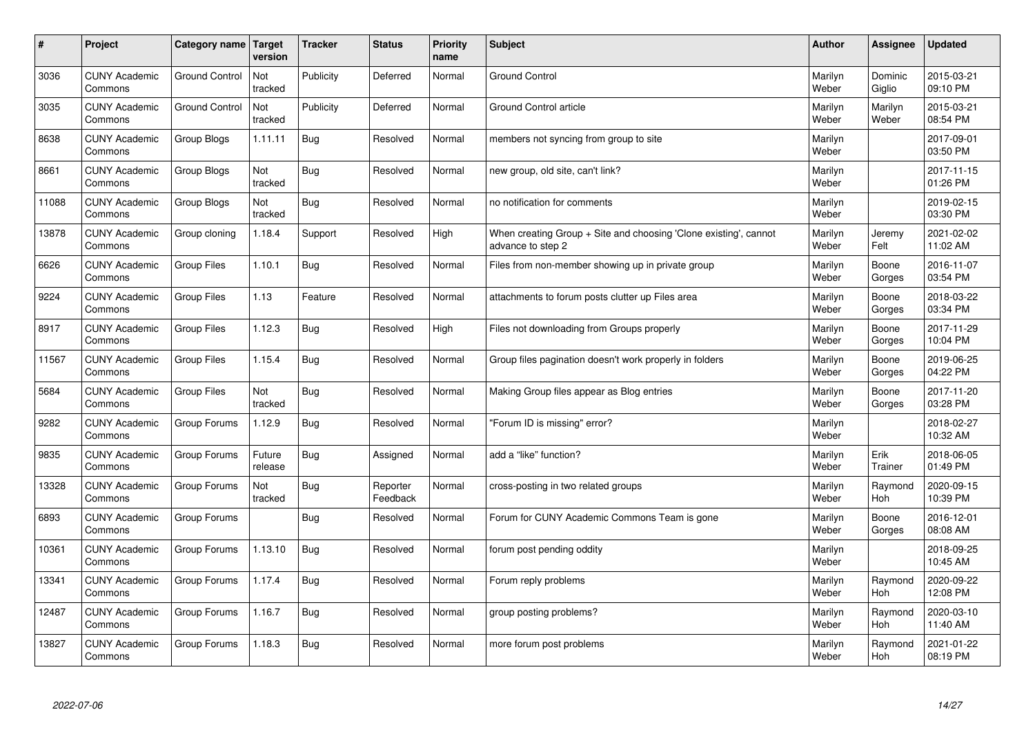| $\sharp$ | Project                         | Category name   Target | version           | <b>Tracker</b> | <b>Status</b>        | <b>Priority</b><br>name | <b>Subject</b>                                                                        | <b>Author</b>    | Assignee              | <b>Updated</b>         |
|----------|---------------------------------|------------------------|-------------------|----------------|----------------------|-------------------------|---------------------------------------------------------------------------------------|------------------|-----------------------|------------------------|
| 3036     | <b>CUNY Academic</b><br>Commons | <b>Ground Control</b>  | Not<br>tracked    | Publicity      | Deferred             | Normal                  | <b>Ground Control</b>                                                                 | Marilyn<br>Weber | Dominic<br>Giglio     | 2015-03-21<br>09:10 PM |
| 3035     | <b>CUNY Academic</b><br>Commons | <b>Ground Control</b>  | Not<br>tracked    | Publicity      | Deferred             | Normal                  | Ground Control article                                                                | Marilyn<br>Weber | Marilyn<br>Weber      | 2015-03-21<br>08:54 PM |
| 8638     | <b>CUNY Academic</b><br>Commons | Group Blogs            | 1.11.11           | Bug            | Resolved             | Normal                  | members not syncing from group to site                                                | Marilyn<br>Weber |                       | 2017-09-01<br>03:50 PM |
| 8661     | <b>CUNY Academic</b><br>Commons | Group Blogs            | Not<br>tracked    | <b>Bug</b>     | Resolved             | Normal                  | new group, old site, can't link?                                                      | Marilyn<br>Weber |                       | 2017-11-15<br>01:26 PM |
| 11088    | <b>CUNY Academic</b><br>Commons | Group Blogs            | Not<br>tracked    | Bug            | Resolved             | Normal                  | no notification for comments                                                          | Marilyn<br>Weber |                       | 2019-02-15<br>03:30 PM |
| 13878    | <b>CUNY Academic</b><br>Commons | Group cloning          | 1.18.4            | Support        | Resolved             | High                    | When creating Group + Site and choosing 'Clone existing', cannot<br>advance to step 2 | Marilyn<br>Weber | Jeremy<br>Felt        | 2021-02-02<br>11:02 AM |
| 6626     | <b>CUNY Academic</b><br>Commons | <b>Group Files</b>     | 1.10.1            | Bug            | Resolved             | Normal                  | Files from non-member showing up in private group                                     | Marilyn<br>Weber | Boone<br>Gorges       | 2016-11-07<br>03:54 PM |
| 9224     | <b>CUNY Academic</b><br>Commons | Group Files            | 1.13              | Feature        | Resolved             | Normal                  | attachments to forum posts clutter up Files area                                      | Marilyn<br>Weber | Boone<br>Gorges       | 2018-03-22<br>03:34 PM |
| 8917     | <b>CUNY Academic</b><br>Commons | <b>Group Files</b>     | 1.12.3            | <b>Bug</b>     | Resolved             | High                    | Files not downloading from Groups properly                                            | Marilyn<br>Weber | Boone<br>Gorges       | 2017-11-29<br>10:04 PM |
| 11567    | <b>CUNY Academic</b><br>Commons | <b>Group Files</b>     | 1.15.4            | Bug            | Resolved             | Normal                  | Group files pagination doesn't work properly in folders                               | Marilyn<br>Weber | Boone<br>Gorges       | 2019-06-25<br>04:22 PM |
| 5684     | <b>CUNY Academic</b><br>Commons | Group Files            | Not<br>tracked    | Bug            | Resolved             | Normal                  | Making Group files appear as Blog entries                                             | Marilyn<br>Weber | Boone<br>Gorges       | 2017-11-20<br>03:28 PM |
| 9282     | <b>CUNY Academic</b><br>Commons | Group Forums           | 1.12.9            | Bug            | Resolved             | Normal                  | 'Forum ID is missing" error?                                                          | Marilyn<br>Weber |                       | 2018-02-27<br>10:32 AM |
| 9835     | <b>CUNY Academic</b><br>Commons | Group Forums           | Future<br>release | <b>Bug</b>     | Assigned             | Normal                  | add a "like" function?                                                                | Marilyn<br>Weber | Erik<br>Trainer       | 2018-06-05<br>01:49 PM |
| 13328    | <b>CUNY Academic</b><br>Commons | Group Forums           | Not<br>tracked    | Bug            | Reporter<br>Feedback | Normal                  | cross-posting in two related groups                                                   | Marilyn<br>Weber | Raymond<br><b>Hoh</b> | 2020-09-15<br>10:39 PM |
| 6893     | <b>CUNY Academic</b><br>Commons | Group Forums           |                   | Bug            | Resolved             | Normal                  | Forum for CUNY Academic Commons Team is gone                                          | Marilyn<br>Weber | Boone<br>Gorges       | 2016-12-01<br>08:08 AM |
| 10361    | <b>CUNY Academic</b><br>Commons | Group Forums           | 1.13.10           | Bug            | Resolved             | Normal                  | forum post pending oddity                                                             | Marilyn<br>Weber |                       | 2018-09-25<br>10:45 AM |
| 13341    | <b>CUNY Academic</b><br>Commons | Group Forums           | 1.17.4            | <b>Bug</b>     | Resolved             | Normal                  | Forum reply problems                                                                  | Marilyn<br>Weber | Raymond<br>Hoh        | 2020-09-22<br>12:08 PM |
| 12487    | <b>CUNY Academic</b><br>Commons | Group Forums           | 1.16.7            | Bug            | Resolved             | Normal                  | group posting problems?                                                               | Marilyn<br>Weber | Raymond<br>Hoh        | 2020-03-10<br>11:40 AM |
| 13827    | <b>CUNY Academic</b><br>Commons | Group Forums           | 1.18.3            | Bug            | Resolved             | Normal                  | more forum post problems                                                              | Marilyn<br>Weber | Raymond<br>Hoh        | 2021-01-22<br>08:19 PM |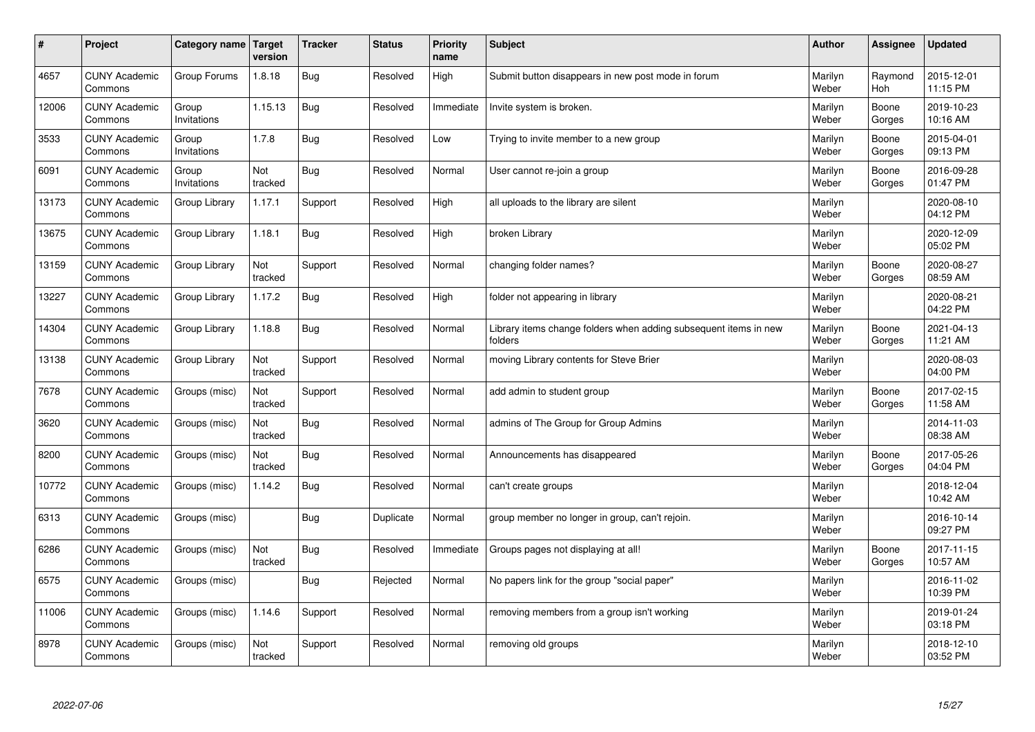| $\sharp$ | Project                         | Category name   Target | version        | <b>Tracker</b> | <b>Status</b> | <b>Priority</b><br>name | <b>Subject</b>                                                              | <b>Author</b>    | Assignee        | <b>Updated</b>         |
|----------|---------------------------------|------------------------|----------------|----------------|---------------|-------------------------|-----------------------------------------------------------------------------|------------------|-----------------|------------------------|
| 4657     | <b>CUNY Academic</b><br>Commons | Group Forums           | 1.8.18         | Bug            | Resolved      | High                    | Submit button disappears in new post mode in forum                          | Marilyn<br>Weber | Raymond<br>Hoh  | 2015-12-01<br>11:15 PM |
| 12006    | <b>CUNY Academic</b><br>Commons | Group<br>Invitations   | 1.15.13        | Bug            | Resolved      | Immediate               | Invite system is broken.                                                    | Marilyn<br>Weber | Boone<br>Gorges | 2019-10-23<br>10:16 AM |
| 3533     | <b>CUNY Academic</b><br>Commons | Group<br>Invitations   | 1.7.8          | Bug            | Resolved      | Low                     | Trying to invite member to a new group                                      | Marilyn<br>Weber | Boone<br>Gorges | 2015-04-01<br>09:13 PM |
| 6091     | <b>CUNY Academic</b><br>Commons | Group<br>Invitations   | Not<br>tracked | <b>Bug</b>     | Resolved      | Normal                  | User cannot re-join a group                                                 | Marilyn<br>Weber | Boone<br>Gorges | 2016-09-28<br>01:47 PM |
| 13173    | <b>CUNY Academic</b><br>Commons | Group Library          | 1.17.1         | Support        | Resolved      | High                    | all uploads to the library are silent                                       | Marilyn<br>Weber |                 | 2020-08-10<br>04:12 PM |
| 13675    | <b>CUNY Academic</b><br>Commons | Group Library          | 1.18.1         | Bug            | Resolved      | High                    | broken Library                                                              | Marilyn<br>Weber |                 | 2020-12-09<br>05:02 PM |
| 13159    | <b>CUNY Academic</b><br>Commons | Group Library          | Not<br>tracked | Support        | Resolved      | Normal                  | changing folder names?                                                      | Marilyn<br>Weber | Boone<br>Gorges | 2020-08-27<br>08:59 AM |
| 13227    | <b>CUNY Academic</b><br>Commons | Group Library          | 1.17.2         | Bug            | Resolved      | High                    | folder not appearing in library                                             | Marilyn<br>Weber |                 | 2020-08-21<br>04:22 PM |
| 14304    | <b>CUNY Academic</b><br>Commons | Group Library          | 1.18.8         | Bug            | Resolved      | Normal                  | Library items change folders when adding subsequent items in new<br>folders | Marilyn<br>Weber | Boone<br>Gorges | 2021-04-13<br>11:21 AM |
| 13138    | <b>CUNY Academic</b><br>Commons | Group Library          | Not<br>tracked | Support        | Resolved      | Normal                  | moving Library contents for Steve Brier                                     | Marilyn<br>Weber |                 | 2020-08-03<br>04:00 PM |
| 7678     | <b>CUNY Academic</b><br>Commons | Groups (misc)          | Not<br>tracked | Support        | Resolved      | Normal                  | add admin to student group                                                  | Marilyn<br>Weber | Boone<br>Gorges | 2017-02-15<br>11:58 AM |
| 3620     | <b>CUNY Academic</b><br>Commons | Groups (misc)          | Not<br>tracked | <b>Bug</b>     | Resolved      | Normal                  | admins of The Group for Group Admins                                        | Marilyn<br>Weber |                 | 2014-11-03<br>08:38 AM |
| 8200     | <b>CUNY Academic</b><br>Commons | Groups (misc)          | Not<br>tracked | Bug            | Resolved      | Normal                  | Announcements has disappeared                                               | Marilyn<br>Weber | Boone<br>Gorges | 2017-05-26<br>04:04 PM |
| 10772    | <b>CUNY Academic</b><br>Commons | Groups (misc)          | 1.14.2         | Bug            | Resolved      | Normal                  | can't create groups                                                         | Marilyn<br>Weber |                 | 2018-12-04<br>10:42 AM |
| 6313     | <b>CUNY Academic</b><br>Commons | Groups (misc)          |                | <b>Bug</b>     | Duplicate     | Normal                  | group member no longer in group, can't rejoin.                              | Marilyn<br>Weber |                 | 2016-10-14<br>09:27 PM |
| 6286     | <b>CUNY Academic</b><br>Commons | Groups (misc)          | Not<br>tracked | Bug            | Resolved      | Immediate               | Groups pages not displaying at all!                                         | Marilyn<br>Weber | Boone<br>Gorges | 2017-11-15<br>10:57 AM |
| 6575     | <b>CUNY Academic</b><br>Commons | Groups (misc)          |                | Bug            | Rejected      | Normal                  | No papers link for the group "social paper"                                 | Marilyn<br>Weber |                 | 2016-11-02<br>10:39 PM |
| 11006    | <b>CUNY Academic</b><br>Commons | Groups (misc)          | 1.14.6         | Support        | Resolved      | Normal                  | removing members from a group isn't working                                 | Marilyn<br>Weber |                 | 2019-01-24<br>03:18 PM |
| 8978     | <b>CUNY Academic</b><br>Commons | Groups (misc)          | Not<br>tracked | Support        | Resolved      | Normal                  | removing old groups                                                         | Marilyn<br>Weber |                 | 2018-12-10<br>03:52 PM |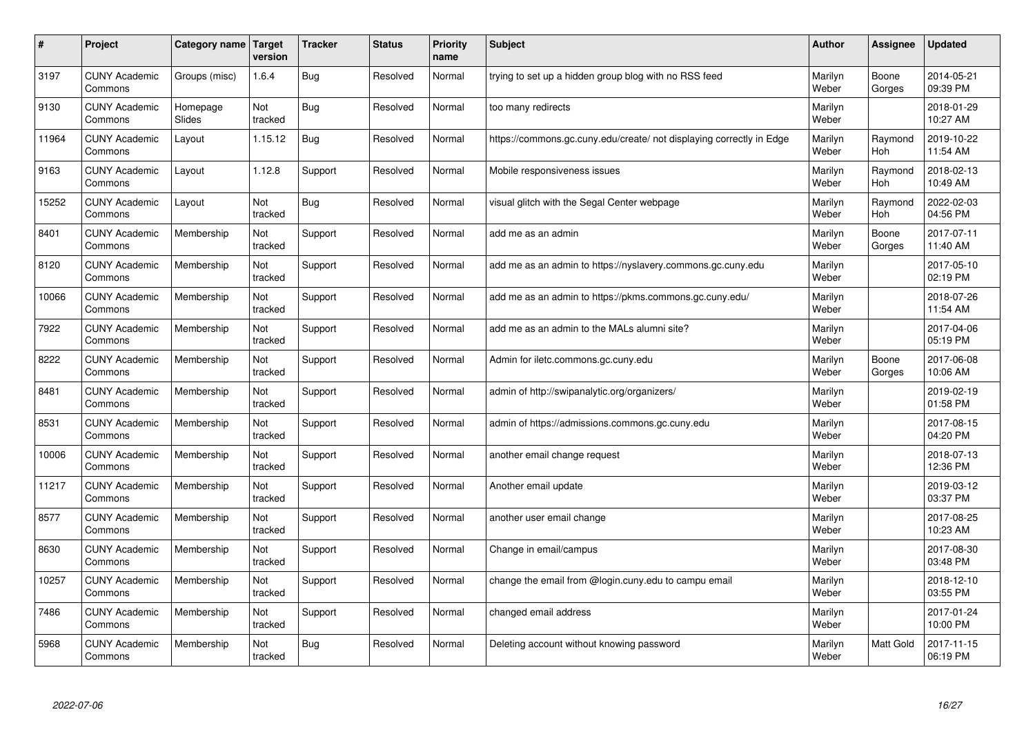| #     | Project                         | Category name   Target | version        | <b>Tracker</b> | <b>Status</b> | Priority<br>name | <b>Subject</b>                                                       | <b>Author</b>    | <b>Assignee</b>  | <b>Updated</b>         |
|-------|---------------------------------|------------------------|----------------|----------------|---------------|------------------|----------------------------------------------------------------------|------------------|------------------|------------------------|
| 3197  | <b>CUNY Academic</b><br>Commons | Groups (misc)          | 1.6.4          | Bug            | Resolved      | Normal           | trying to set up a hidden group blog with no RSS feed                | Marilyn<br>Weber | Boone<br>Gorges  | 2014-05-21<br>09:39 PM |
| 9130  | <b>CUNY Academic</b><br>Commons | Homepage<br>Slides     | Not<br>tracked | Bug            | Resolved      | Normal           | too many redirects                                                   | Marilyn<br>Weber |                  | 2018-01-29<br>10:27 AM |
| 11964 | <b>CUNY Academic</b><br>Commons | Layout                 | 1.15.12        | Bug            | Resolved      | Normal           | https://commons.gc.cuny.edu/create/ not displaying correctly in Edge | Marilyn<br>Weber | Raymond<br>Hoh   | 2019-10-22<br>11:54 AM |
| 9163  | <b>CUNY Academic</b><br>Commons | Layout                 | 1.12.8         | Support        | Resolved      | Normal           | Mobile responsiveness issues                                         | Marilyn<br>Weber | Raymond<br>Hoh   | 2018-02-13<br>10:49 AM |
| 15252 | <b>CUNY Academic</b><br>Commons | Layout                 | Not<br>tracked | Bug            | Resolved      | Normal           | visual glitch with the Segal Center webpage                          | Marilyn<br>Weber | Raymond<br>Hoh   | 2022-02-03<br>04:56 PM |
| 8401  | <b>CUNY Academic</b><br>Commons | Membership             | Not<br>tracked | Support        | Resolved      | Normal           | add me as an admin                                                   | Marilyn<br>Weber | Boone<br>Gorges  | 2017-07-11<br>11:40 AM |
| 8120  | <b>CUNY Academic</b><br>Commons | Membership             | Not<br>tracked | Support        | Resolved      | Normal           | add me as an admin to https://nyslavery.commons.gc.cuny.edu          | Marilyn<br>Weber |                  | 2017-05-10<br>02:19 PM |
| 10066 | <b>CUNY Academic</b><br>Commons | Membership             | Not<br>tracked | Support        | Resolved      | Normal           | add me as an admin to https://pkms.commons.gc.cuny.edu/              | Marilyn<br>Weber |                  | 2018-07-26<br>11:54 AM |
| 7922  | <b>CUNY Academic</b><br>Commons | Membership             | Not<br>tracked | Support        | Resolved      | Normal           | add me as an admin to the MALs alumni site?                          | Marilyn<br>Weber |                  | 2017-04-06<br>05:19 PM |
| 8222  | <b>CUNY Academic</b><br>Commons | Membership             | Not<br>tracked | Support        | Resolved      | Normal           | Admin for iletc.commons.gc.cuny.edu                                  | Marilyn<br>Weber | Boone<br>Gorges  | 2017-06-08<br>10:06 AM |
| 8481  | <b>CUNY Academic</b><br>Commons | Membership             | Not<br>tracked | Support        | Resolved      | Normal           | admin of http://swipanalytic.org/organizers/                         | Marilyn<br>Weber |                  | 2019-02-19<br>01:58 PM |
| 8531  | <b>CUNY Academic</b><br>Commons | Membership             | Not<br>tracked | Support        | Resolved      | Normal           | admin of https://admissions.commons.gc.cuny.edu                      | Marilyn<br>Weber |                  | 2017-08-15<br>04:20 PM |
| 10006 | <b>CUNY Academic</b><br>Commons | Membership             | Not<br>tracked | Support        | Resolved      | Normal           | another email change request                                         | Marilyn<br>Weber |                  | 2018-07-13<br>12:36 PM |
| 11217 | <b>CUNY Academic</b><br>Commons | Membership             | Not<br>tracked | Support        | Resolved      | Normal           | Another email update                                                 | Marilyn<br>Weber |                  | 2019-03-12<br>03:37 PM |
| 8577  | <b>CUNY Academic</b><br>Commons | Membership             | Not<br>tracked | Support        | Resolved      | Normal           | another user email change                                            | Marilyn<br>Weber |                  | 2017-08-25<br>10:23 AM |
| 8630  | <b>CUNY Academic</b><br>Commons | Membership             | Not<br>tracked | Support        | Resolved      | Normal           | Change in email/campus                                               | Marilyn<br>Weber |                  | 2017-08-30<br>03:48 PM |
| 10257 | <b>CUNY Academic</b><br>Commons | Membership             | Not<br>tracked | Support        | Resolved      | Normal           | change the email from @login.cuny.edu to campu email                 | Marilyn<br>Weber |                  | 2018-12-10<br>03:55 PM |
| 7486  | <b>CUNY Academic</b><br>Commons | Membership             | Not<br>tracked | Support        | Resolved      | Normal           | changed email address                                                | Marilyn<br>Weber |                  | 2017-01-24<br>10:00 PM |
| 5968  | <b>CUNY Academic</b><br>Commons | Membership             | Not<br>tracked | Bug            | Resolved      | Normal           | Deleting account without knowing password                            | Marilyn<br>Weber | <b>Matt Gold</b> | 2017-11-15<br>06:19 PM |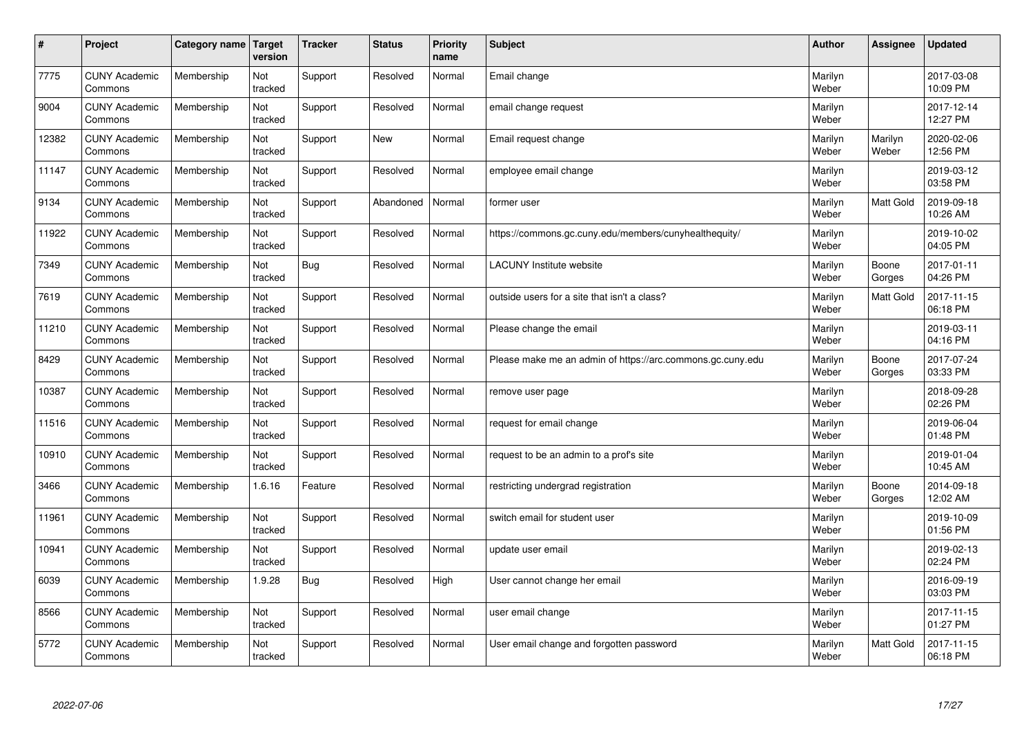| $\sharp$ | Project                         | Category name   Target | version        | <b>Tracker</b> | <b>Status</b> | <b>Priority</b><br>name | <b>Subject</b>                                             | <b>Author</b>    | Assignee         | <b>Updated</b>         |
|----------|---------------------------------|------------------------|----------------|----------------|---------------|-------------------------|------------------------------------------------------------|------------------|------------------|------------------------|
| 7775     | <b>CUNY Academic</b><br>Commons | Membership             | Not<br>tracked | Support        | Resolved      | Normal                  | Email change                                               | Marilyn<br>Weber |                  | 2017-03-08<br>10:09 PM |
| 9004     | <b>CUNY Academic</b><br>Commons | Membership             | Not<br>tracked | Support        | Resolved      | Normal                  | email change request                                       | Marilyn<br>Weber |                  | 2017-12-14<br>12:27 PM |
| 12382    | <b>CUNY Academic</b><br>Commons | Membership             | Not<br>tracked | Support        | <b>New</b>    | Normal                  | Email request change                                       | Marilyn<br>Weber | Marilyn<br>Weber | 2020-02-06<br>12:56 PM |
| 11147    | <b>CUNY Academic</b><br>Commons | Membership             | Not<br>tracked | Support        | Resolved      | Normal                  | employee email change                                      | Marilyn<br>Weber |                  | 2019-03-12<br>03:58 PM |
| 9134     | <b>CUNY Academic</b><br>Commons | Membership             | Not<br>tracked | Support        | Abandoned     | Normal                  | former user                                                | Marilyn<br>Weber | <b>Matt Gold</b> | 2019-09-18<br>10:26 AM |
| 11922    | <b>CUNY Academic</b><br>Commons | Membership             | Not<br>tracked | Support        | Resolved      | Normal                  | https://commons.gc.cuny.edu/members/cunyhealthequity/      | Marilyn<br>Weber |                  | 2019-10-02<br>04:05 PM |
| 7349     | <b>CUNY Academic</b><br>Commons | Membership             | Not<br>tracked | Bug            | Resolved      | Normal                  | <b>LACUNY</b> Institute website                            | Marilyn<br>Weber | Boone<br>Gorges  | 2017-01-11<br>04:26 PM |
| 7619     | <b>CUNY Academic</b><br>Commons | Membership             | Not<br>tracked | Support        | Resolved      | Normal                  | outside users for a site that isn't a class?               | Marilyn<br>Weber | Matt Gold        | 2017-11-15<br>06:18 PM |
| 11210    | <b>CUNY Academic</b><br>Commons | Membership             | Not<br>tracked | Support        | Resolved      | Normal                  | Please change the email                                    | Marilyn<br>Weber |                  | 2019-03-11<br>04:16 PM |
| 8429     | <b>CUNY Academic</b><br>Commons | Membership             | Not<br>tracked | Support        | Resolved      | Normal                  | Please make me an admin of https://arc.commons.gc.cuny.edu | Marilyn<br>Weber | Boone<br>Gorges  | 2017-07-24<br>03:33 PM |
| 10387    | <b>CUNY Academic</b><br>Commons | Membership             | Not<br>tracked | Support        | Resolved      | Normal                  | remove user page                                           | Marilyn<br>Weber |                  | 2018-09-28<br>02:26 PM |
| 11516    | <b>CUNY Academic</b><br>Commons | Membership             | Not<br>tracked | Support        | Resolved      | Normal                  | request for email change                                   | Marilyn<br>Weber |                  | 2019-06-04<br>01:48 PM |
| 10910    | <b>CUNY Academic</b><br>Commons | Membership             | Not<br>tracked | Support        | Resolved      | Normal                  | request to be an admin to a prof's site                    | Marilyn<br>Weber |                  | 2019-01-04<br>10:45 AM |
| 3466     | <b>CUNY Academic</b><br>Commons | Membership             | 1.6.16         | Feature        | Resolved      | Normal                  | restricting undergrad registration                         | Marilyn<br>Weber | Boone<br>Gorges  | 2014-09-18<br>12:02 AM |
| 11961    | <b>CUNY Academic</b><br>Commons | Membership             | Not<br>tracked | Support        | Resolved      | Normal                  | switch email for student user                              | Marilyn<br>Weber |                  | 2019-10-09<br>01:56 PM |
| 10941    | <b>CUNY Academic</b><br>Commons | Membership             | Not<br>tracked | Support        | Resolved      | Normal                  | update user email                                          | Marilyn<br>Weber |                  | 2019-02-13<br>02:24 PM |
| 6039     | <b>CUNY Academic</b><br>Commons | Membership             | 1.9.28         | Bug            | Resolved      | High                    | User cannot change her email                               | Marilyn<br>Weber |                  | 2016-09-19<br>03:03 PM |
| 8566     | <b>CUNY Academic</b><br>Commons | Membership             | Not<br>tracked | Support        | Resolved      | Normal                  | user email change                                          | Marilyn<br>Weber |                  | 2017-11-15<br>01:27 PM |
| 5772     | <b>CUNY Academic</b><br>Commons | Membership             | Not<br>tracked | Support        | Resolved      | Normal                  | User email change and forgotten password                   | Marilyn<br>Weber | <b>Matt Gold</b> | 2017-11-15<br>06:18 PM |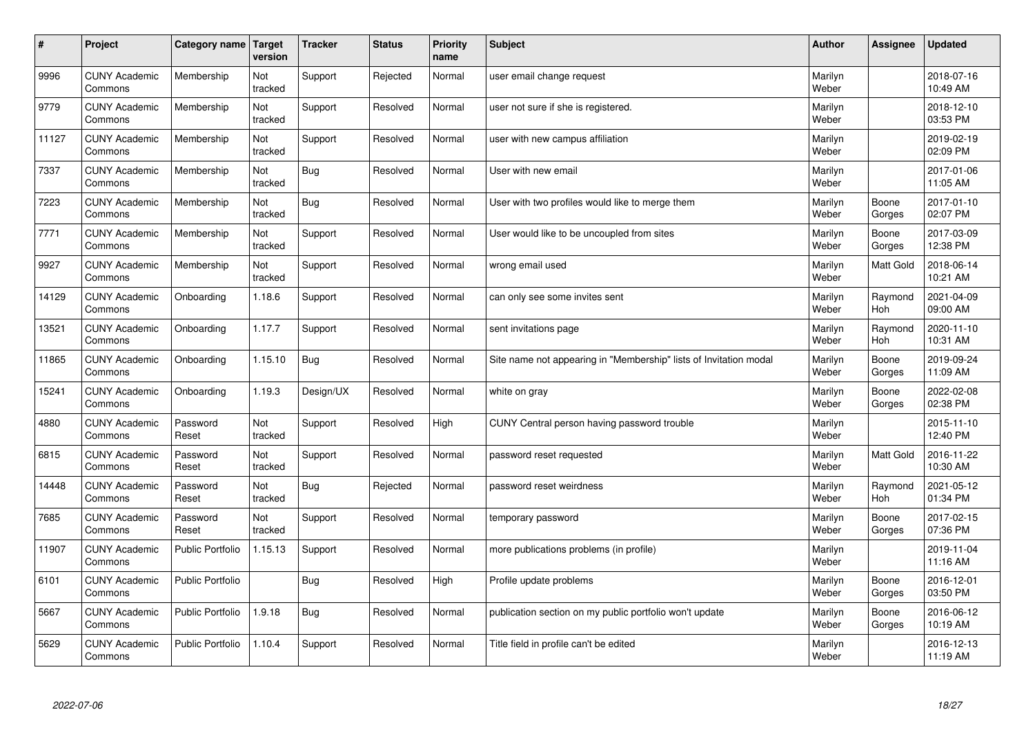| $\sharp$ | Project                         | Category name   Target  | version        | <b>Tracker</b> | <b>Status</b> | <b>Priority</b><br>name | <b>Subject</b>                                                    | <b>Author</b>    | Assignee              | <b>Updated</b>         |
|----------|---------------------------------|-------------------------|----------------|----------------|---------------|-------------------------|-------------------------------------------------------------------|------------------|-----------------------|------------------------|
| 9996     | <b>CUNY Academic</b><br>Commons | Membership              | Not<br>tracked | Support        | Rejected      | Normal                  | user email change request                                         | Marilyn<br>Weber |                       | 2018-07-16<br>10:49 AM |
| 9779     | <b>CUNY Academic</b><br>Commons | Membership              | Not<br>tracked | Support        | Resolved      | Normal                  | user not sure if she is registered.                               | Marilyn<br>Weber |                       | 2018-12-10<br>03:53 PM |
| 11127    | <b>CUNY Academic</b><br>Commons | Membership              | Not<br>tracked | Support        | Resolved      | Normal                  | user with new campus affiliation                                  | Marilyn<br>Weber |                       | 2019-02-19<br>02:09 PM |
| 7337     | <b>CUNY Academic</b><br>Commons | Membership              | Not<br>tracked | Bug            | Resolved      | Normal                  | User with new email                                               | Marilyn<br>Weber |                       | 2017-01-06<br>11:05 AM |
| 7223     | <b>CUNY Academic</b><br>Commons | Membership              | Not<br>tracked | Bug            | Resolved      | Normal                  | User with two profiles would like to merge them                   | Marilyn<br>Weber | Boone<br>Gorges       | 2017-01-10<br>02:07 PM |
| 7771     | <b>CUNY Academic</b><br>Commons | Membership              | Not<br>tracked | Support        | Resolved      | Normal                  | User would like to be uncoupled from sites                        | Marilyn<br>Weber | Boone<br>Gorges       | 2017-03-09<br>12:38 PM |
| 9927     | <b>CUNY Academic</b><br>Commons | Membership              | Not<br>tracked | Support        | Resolved      | Normal                  | wrong email used                                                  | Marilyn<br>Weber | Matt Gold             | 2018-06-14<br>10:21 AM |
| 14129    | <b>CUNY Academic</b><br>Commons | Onboarding              | 1.18.6         | Support        | Resolved      | Normal                  | can only see some invites sent                                    | Marilyn<br>Weber | Raymond<br>Hoh        | 2021-04-09<br>09:00 AM |
| 13521    | <b>CUNY Academic</b><br>Commons | Onboarding              | 1.17.7         | Support        | Resolved      | Normal                  | sent invitations page                                             | Marilyn<br>Weber | Raymond<br><b>Hoh</b> | 2020-11-10<br>10:31 AM |
| 11865    | <b>CUNY Academic</b><br>Commons | Onboarding              | 1.15.10        | Bug            | Resolved      | Normal                  | Site name not appearing in "Membership" lists of Invitation modal | Marilyn<br>Weber | Boone<br>Gorges       | 2019-09-24<br>11:09 AM |
| 15241    | <b>CUNY Academic</b><br>Commons | Onboarding              | 1.19.3         | Design/UX      | Resolved      | Normal                  | white on gray                                                     | Marilyn<br>Weber | Boone<br>Gorges       | 2022-02-08<br>02:38 PM |
| 4880     | <b>CUNY Academic</b><br>Commons | Password<br>Reset       | Not<br>tracked | Support        | Resolved      | High                    | CUNY Central person having password trouble                       | Marilyn<br>Weber |                       | 2015-11-10<br>12:40 PM |
| 6815     | <b>CUNY Academic</b><br>Commons | Password<br>Reset       | Not<br>tracked | Support        | Resolved      | Normal                  | password reset requested                                          | Marilyn<br>Weber | Matt Gold             | 2016-11-22<br>10:30 AM |
| 14448    | <b>CUNY Academic</b><br>Commons | Password<br>Reset       | Not<br>tracked | Bug            | Rejected      | Normal                  | password reset weirdness                                          | Marilyn<br>Weber | Raymond<br><b>Hoh</b> | 2021-05-12<br>01:34 PM |
| 7685     | <b>CUNY Academic</b><br>Commons | Password<br>Reset       | Not<br>tracked | Support        | Resolved      | Normal                  | temporary password                                                | Marilyn<br>Weber | Boone<br>Gorges       | 2017-02-15<br>07:36 PM |
| 11907    | <b>CUNY Academic</b><br>Commons | <b>Public Portfolio</b> | 1.15.13        | Support        | Resolved      | Normal                  | more publications problems (in profile)                           | Marilyn<br>Weber |                       | 2019-11-04<br>11:16 AM |
| 6101     | <b>CUNY Academic</b><br>Commons | <b>Public Portfolio</b> |                | Bug            | Resolved      | High                    | Profile update problems                                           | Marilyn<br>Weber | Boone<br>Gorges       | 2016-12-01<br>03:50 PM |
| 5667     | <b>CUNY Academic</b><br>Commons | <b>Public Portfolio</b> | 1.9.18         | Bug            | Resolved      | Normal                  | publication section on my public portfolio won't update           | Marilyn<br>Weber | Boone<br>Gorges       | 2016-06-12<br>10:19 AM |
| 5629     | <b>CUNY Academic</b><br>Commons | Public Portfolio        | 1.10.4         | Support        | Resolved      | Normal                  | Title field in profile can't be edited                            | Marilyn<br>Weber |                       | 2016-12-13<br>11:19 AM |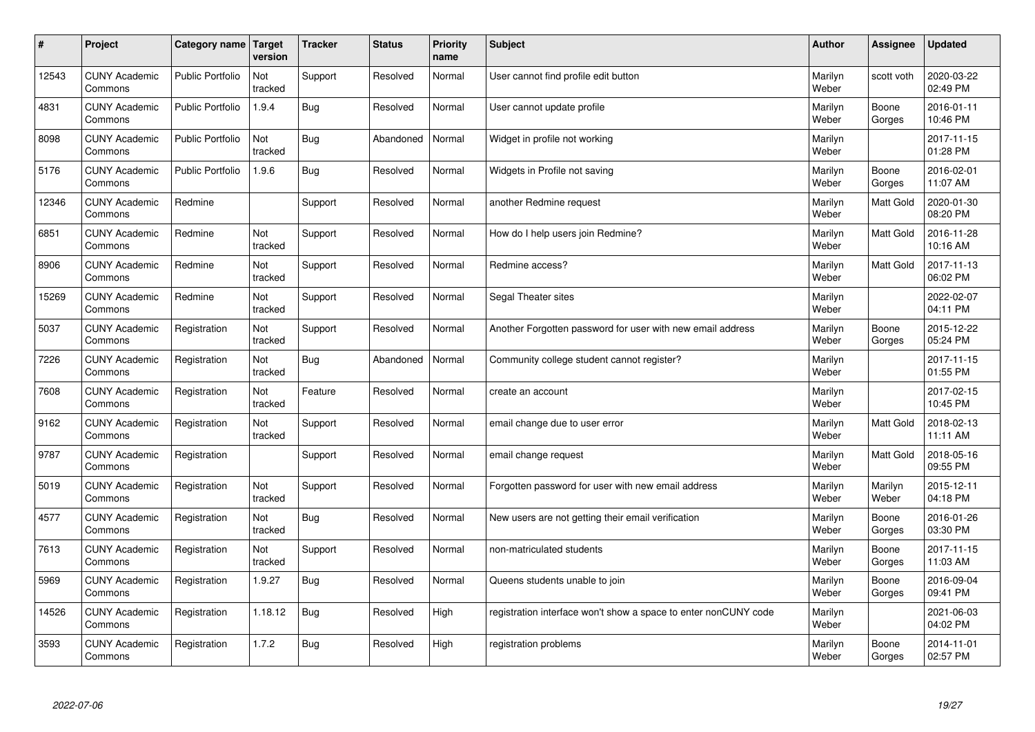| #     | Project                         | Category name Target    | version        | <b>Tracker</b> | <b>Status</b> | <b>Priority</b><br>name | <b>Subject</b>                                                  | <b>Author</b>    | Assignee         | <b>Updated</b>         |
|-------|---------------------------------|-------------------------|----------------|----------------|---------------|-------------------------|-----------------------------------------------------------------|------------------|------------------|------------------------|
| 12543 | <b>CUNY Academic</b><br>Commons | <b>Public Portfolio</b> | Not<br>tracked | Support        | Resolved      | Normal                  | User cannot find profile edit button                            | Marilyn<br>Weber | scott voth       | 2020-03-22<br>02:49 PM |
| 4831  | <b>CUNY Academic</b><br>Commons | <b>Public Portfolio</b> | 1.9.4          | Bug            | Resolved      | Normal                  | User cannot update profile                                      | Marilyn<br>Weber | Boone<br>Gorges  | 2016-01-11<br>10:46 PM |
| 8098  | <b>CUNY Academic</b><br>Commons | <b>Public Portfolio</b> | Not<br>tracked | Bug            | Abandoned     | Normal                  | Widget in profile not working                                   | Marilyn<br>Weber |                  | 2017-11-15<br>01:28 PM |
| 5176  | <b>CUNY Academic</b><br>Commons | <b>Public Portfolio</b> | 1.9.6          | Bug            | Resolved      | Normal                  | Widgets in Profile not saving                                   | Marilyn<br>Weber | Boone<br>Gorges  | 2016-02-01<br>11:07 AM |
| 12346 | <b>CUNY Academic</b><br>Commons | Redmine                 |                | Support        | Resolved      | Normal                  | another Redmine request                                         | Marilyn<br>Weber | <b>Matt Gold</b> | 2020-01-30<br>08:20 PM |
| 6851  | <b>CUNY Academic</b><br>Commons | Redmine                 | Not<br>tracked | Support        | Resolved      | Normal                  | How do I help users join Redmine?                               | Marilyn<br>Weber | Matt Gold        | 2016-11-28<br>10:16 AM |
| 8906  | <b>CUNY Academic</b><br>Commons | Redmine                 | Not<br>tracked | Support        | Resolved      | Normal                  | Redmine access?                                                 | Marilyn<br>Weber | <b>Matt Gold</b> | 2017-11-13<br>06:02 PM |
| 15269 | <b>CUNY Academic</b><br>Commons | Redmine                 | Not<br>tracked | Support        | Resolved      | Normal                  | Segal Theater sites                                             | Marilyn<br>Weber |                  | 2022-02-07<br>04:11 PM |
| 5037  | <b>CUNY Academic</b><br>Commons | Registration            | Not<br>tracked | Support        | Resolved      | Normal                  | Another Forgotten password for user with new email address      | Marilyn<br>Weber | Boone<br>Gorges  | 2015-12-22<br>05:24 PM |
| 7226  | <b>CUNY Academic</b><br>Commons | Registration            | Not<br>tracked | Bug            | Abandoned     | Normal                  | Community college student cannot register?                      | Marilyn<br>Weber |                  | 2017-11-15<br>01:55 PM |
| 7608  | <b>CUNY Academic</b><br>Commons | Registration            | Not<br>tracked | Feature        | Resolved      | Normal                  | create an account                                               | Marilyn<br>Weber |                  | 2017-02-15<br>10:45 PM |
| 9162  | <b>CUNY Academic</b><br>Commons | Registration            | Not<br>tracked | Support        | Resolved      | Normal                  | email change due to user error                                  | Marilyn<br>Weber | <b>Matt Gold</b> | 2018-02-13<br>11:11 AM |
| 9787  | <b>CUNY Academic</b><br>Commons | Registration            |                | Support        | Resolved      | Normal                  | email change request                                            | Marilyn<br>Weber | <b>Matt Gold</b> | 2018-05-16<br>09:55 PM |
| 5019  | <b>CUNY Academic</b><br>Commons | Registration            | Not<br>tracked | Support        | Resolved      | Normal                  | Forgotten password for user with new email address              | Marilyn<br>Weber | Marilyn<br>Weber | 2015-12-11<br>04:18 PM |
| 4577  | <b>CUNY Academic</b><br>Commons | Registration            | Not<br>tracked | Bug            | Resolved      | Normal                  | New users are not getting their email verification              | Marilyn<br>Weber | Boone<br>Gorges  | 2016-01-26<br>03:30 PM |
| 7613  | <b>CUNY Academic</b><br>Commons | Registration            | Not<br>tracked | Support        | Resolved      | Normal                  | non-matriculated students                                       | Marilyn<br>Weber | Boone<br>Gorges  | 2017-11-15<br>11:03 AM |
| 5969  | <b>CUNY Academic</b><br>Commons | Registration            | 1.9.27         | Bug            | Resolved      | Normal                  | Queens students unable to join                                  | Marilyn<br>Weber | Boone<br>Gorges  | 2016-09-04<br>09:41 PM |
| 14526 | <b>CUNY Academic</b><br>Commons | Registration            | 1.18.12        | Bug            | Resolved      | High                    | registration interface won't show a space to enter nonCUNY code | Marilyn<br>Weber |                  | 2021-06-03<br>04:02 PM |
| 3593  | <b>CUNY Academic</b><br>Commons | Registration            | 1.7.2          | <b>Bug</b>     | Resolved      | High                    | registration problems                                           | Marilyn<br>Weber | Boone<br>Gorges  | 2014-11-01<br>02:57 PM |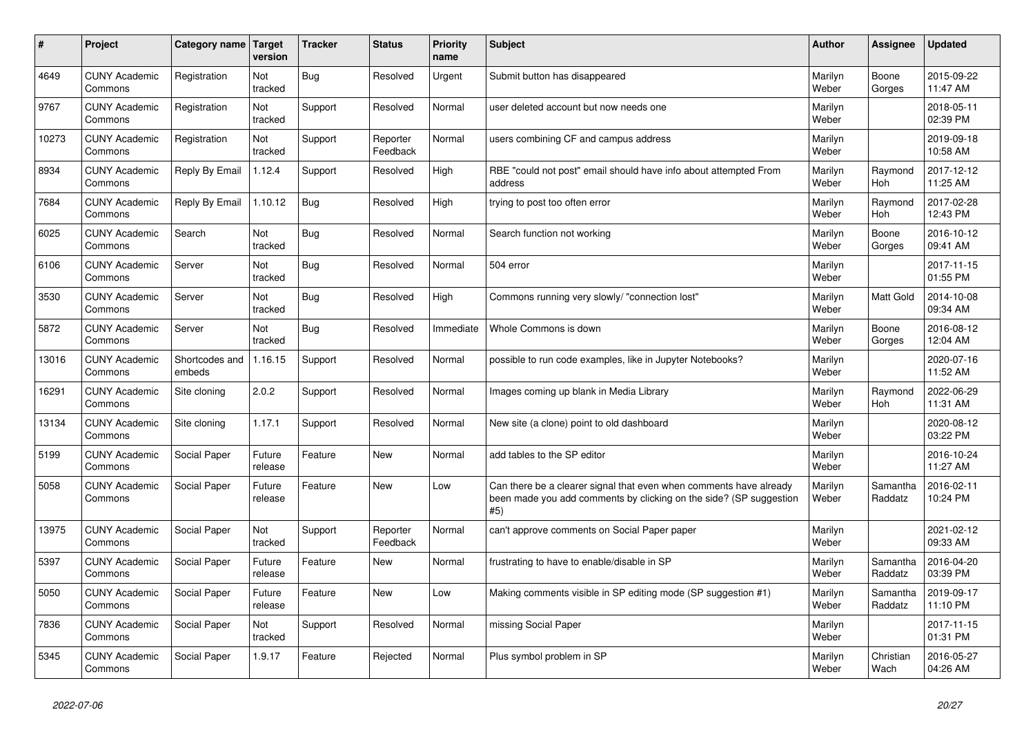| $\#$  | Project                         | <b>Category name</b>     | Target<br>version | <b>Tracker</b> | <b>Status</b>        | <b>Priority</b><br>name | Subject                                                                                                                                         | <b>Author</b>    | <b>Assignee</b>     | <b>Updated</b>         |
|-------|---------------------------------|--------------------------|-------------------|----------------|----------------------|-------------------------|-------------------------------------------------------------------------------------------------------------------------------------------------|------------------|---------------------|------------------------|
| 4649  | <b>CUNY Academic</b><br>Commons | Registration             | Not<br>tracked    | Bug            | Resolved             | Urgent                  | Submit button has disappeared                                                                                                                   | Marilyn<br>Weber | Boone<br>Gorges     | 2015-09-22<br>11:47 AM |
| 9767  | <b>CUNY Academic</b><br>Commons | Registration             | Not<br>tracked    | Support        | Resolved             | Normal                  | user deleted account but now needs one                                                                                                          | Marilyn<br>Weber |                     | 2018-05-11<br>02:39 PM |
| 10273 | <b>CUNY Academic</b><br>Commons | Registration             | Not<br>tracked    | Support        | Reporter<br>Feedback | Normal                  | users combining CF and campus address                                                                                                           | Marilyn<br>Weber |                     | 2019-09-18<br>10:58 AM |
| 8934  | <b>CUNY Academic</b><br>Commons | Reply By Email           | 1.12.4            | Support        | Resolved             | High                    | RBE "could not post" email should have info about attempted From<br>address                                                                     | Marilyn<br>Weber | Raymond<br>Hoh      | 2017-12-12<br>11:25 AM |
| 7684  | <b>CUNY Academic</b><br>Commons | Reply By Email           | 1.10.12           | Bug            | Resolved             | High                    | trying to post too often error                                                                                                                  | Marilyn<br>Weber | Raymond<br>Hoh      | 2017-02-28<br>12:43 PM |
| 6025  | <b>CUNY Academic</b><br>Commons | Search                   | Not<br>tracked    | Bug            | Resolved             | Normal                  | Search function not working                                                                                                                     | Marilyn<br>Weber | Boone<br>Gorges     | 2016-10-12<br>09:41 AM |
| 6106  | <b>CUNY Academic</b><br>Commons | Server                   | Not<br>tracked    | Bug            | Resolved             | Normal                  | 504 error                                                                                                                                       | Marilyn<br>Weber |                     | 2017-11-15<br>01:55 PM |
| 3530  | <b>CUNY Academic</b><br>Commons | Server                   | Not<br>tracked    | Bug            | Resolved             | High                    | Commons running very slowly/ "connection lost"                                                                                                  | Marilyn<br>Weber | Matt Gold           | 2014-10-08<br>09:34 AM |
| 5872  | <b>CUNY Academic</b><br>Commons | Server                   | Not<br>tracked    | Bug            | Resolved             | Immediate               | Whole Commons is down                                                                                                                           | Marilyn<br>Weber | Boone<br>Gorges     | 2016-08-12<br>12:04 AM |
| 13016 | <b>CUNY Academic</b><br>Commons | Shortcodes and<br>embeds | 1.16.15           | Support        | Resolved             | Normal                  | possible to run code examples, like in Jupyter Notebooks?                                                                                       | Marilyn<br>Weber |                     | 2020-07-16<br>11:52 AM |
| 16291 | <b>CUNY Academic</b><br>Commons | Site cloning             | 2.0.2             | Support        | Resolved             | Normal                  | Images coming up blank in Media Library                                                                                                         | Marilyn<br>Weber | Raymond<br>Hoh      | 2022-06-29<br>11:31 AM |
| 13134 | <b>CUNY Academic</b><br>Commons | Site cloning             | 1.17.1            | Support        | Resolved             | Normal                  | New site (a clone) point to old dashboard                                                                                                       | Marilyn<br>Weber |                     | 2020-08-12<br>03:22 PM |
| 5199  | <b>CUNY Academic</b><br>Commons | Social Paper             | Future<br>release | Feature        | New                  | Normal                  | add tables to the SP editor                                                                                                                     | Marilyn<br>Weber |                     | 2016-10-24<br>11:27 AM |
| 5058  | <b>CUNY Academic</b><br>Commons | Social Paper             | Future<br>release | Feature        | <b>New</b>           | Low                     | Can there be a clearer signal that even when comments have already<br>been made you add comments by clicking on the side? (SP suggestion<br>#5) | Marilyn<br>Weber | Samantha<br>Raddatz | 2016-02-11<br>10:24 PM |
| 13975 | <b>CUNY Academic</b><br>Commons | Social Paper             | Not<br>tracked    | Support        | Reporter<br>Feedback | Normal                  | can't approve comments on Social Paper paper                                                                                                    | Marilyn<br>Weber |                     | 2021-02-12<br>09:33 AM |
| 5397  | <b>CUNY Academic</b><br>Commons | Social Paper             | Future<br>release | Feature        | New                  | Normal                  | frustrating to have to enable/disable in SP                                                                                                     | Marilyn<br>Weber | Samantha<br>Raddatz | 2016-04-20<br>03:39 PM |
| 5050  | <b>CUNY Academic</b><br>Commons | Social Paper             | Future<br>release | Feature        | New                  | Low                     | Making comments visible in SP editing mode (SP suggestion #1)                                                                                   | Marilyn<br>Weber | Samantha<br>Raddatz | 2019-09-17<br>11:10 PM |
| 7836  | <b>CUNY Academic</b><br>Commons | Social Paper             | Not<br>tracked    | Support        | Resolved             | Normal                  | missing Social Paper                                                                                                                            | Marilyn<br>Weber |                     | 2017-11-15<br>01:31 PM |
| 5345  | <b>CUNY Academic</b><br>Commons | Social Paper             | 1.9.17            | Feature        | Rejected             | Normal                  | Plus symbol problem in SP                                                                                                                       | Marilyn<br>Weber | Christian<br>Wach   | 2016-05-27<br>04:26 AM |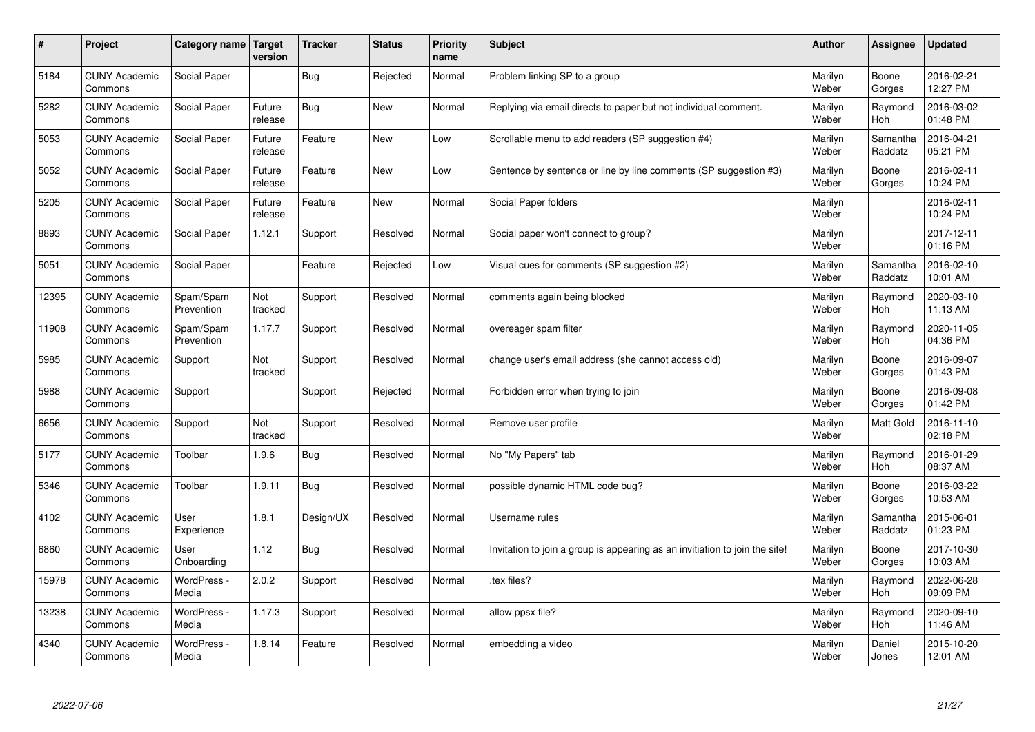| $\pmb{\#}$ | Project                         | Category name           | Target<br>version | <b>Tracker</b> | <b>Status</b> | <b>Priority</b><br>name | <b>Subject</b>                                                              | <b>Author</b>    | Assignee              | <b>Updated</b>         |
|------------|---------------------------------|-------------------------|-------------------|----------------|---------------|-------------------------|-----------------------------------------------------------------------------|------------------|-----------------------|------------------------|
| 5184       | <b>CUNY Academic</b><br>Commons | Social Paper            |                   | Bug            | Rejected      | Normal                  | Problem linking SP to a group                                               | Marilyn<br>Weber | Boone<br>Gorges       | 2016-02-21<br>12:27 PM |
| 5282       | <b>CUNY Academic</b><br>Commons | Social Paper            | Future<br>release | Bug            | <b>New</b>    | Normal                  | Replying via email directs to paper but not individual comment.             | Marilyn<br>Weber | Raymond<br><b>Hoh</b> | 2016-03-02<br>01:48 PM |
| 5053       | <b>CUNY Academic</b><br>Commons | Social Paper            | Future<br>release | Feature        | <b>New</b>    | Low                     | Scrollable menu to add readers (SP suggestion #4)                           | Marilyn<br>Weber | Samantha<br>Raddatz   | 2016-04-21<br>05:21 PM |
| 5052       | <b>CUNY Academic</b><br>Commons | Social Paper            | Future<br>release | Feature        | <b>New</b>    | Low                     | Sentence by sentence or line by line comments (SP suggestion #3)            | Marilyn<br>Weber | Boone<br>Gorges       | 2016-02-11<br>10:24 PM |
| 5205       | <b>CUNY Academic</b><br>Commons | Social Paper            | Future<br>release | Feature        | New           | Normal                  | Social Paper folders                                                        | Marilyn<br>Weber |                       | 2016-02-11<br>10:24 PM |
| 8893       | <b>CUNY Academic</b><br>Commons | Social Paper            | 1.12.1            | Support        | Resolved      | Normal                  | Social paper won't connect to group?                                        | Marilyn<br>Weber |                       | 2017-12-11<br>01:16 PM |
| 5051       | <b>CUNY Academic</b><br>Commons | Social Paper            |                   | Feature        | Rejected      | Low                     | Visual cues for comments (SP suggestion #2)                                 | Marilyn<br>Weber | Samantha<br>Raddatz   | 2016-02-10<br>10:01 AM |
| 12395      | <b>CUNY Academic</b><br>Commons | Spam/Spam<br>Prevention | Not<br>tracked    | Support        | Resolved      | Normal                  | comments again being blocked                                                | Marilyn<br>Weber | Raymond<br>Hoh        | 2020-03-10<br>11:13 AM |
| 11908      | <b>CUNY Academic</b><br>Commons | Spam/Spam<br>Prevention | 1.17.7            | Support        | Resolved      | Normal                  | overeager spam filter                                                       | Marilyn<br>Weber | Raymond<br>Hoh        | 2020-11-05<br>04:36 PM |
| 5985       | <b>CUNY Academic</b><br>Commons | Support                 | Not<br>tracked    | Support        | Resolved      | Normal                  | change user's email address (she cannot access old)                         | Marilyn<br>Weber | Boone<br>Gorges       | 2016-09-07<br>01:43 PM |
| 5988       | <b>CUNY Academic</b><br>Commons | Support                 |                   | Support        | Rejected      | Normal                  | Forbidden error when trying to join                                         | Marilyn<br>Weber | Boone<br>Gorges       | 2016-09-08<br>01:42 PM |
| 6656       | <b>CUNY Academic</b><br>Commons | Support                 | Not<br>tracked    | Support        | Resolved      | Normal                  | Remove user profile                                                         | Marilyn<br>Weber | Matt Gold             | 2016-11-10<br>02:18 PM |
| 5177       | <b>CUNY Academic</b><br>Commons | Toolbar                 | 1.9.6             | <b>Bug</b>     | Resolved      | Normal                  | No "My Papers" tab                                                          | Marilyn<br>Weber | Raymond<br>Hoh        | 2016-01-29<br>08:37 AM |
| 5346       | <b>CUNY Academic</b><br>Commons | Toolbar                 | 1.9.11            | <b>Bug</b>     | Resolved      | Normal                  | possible dynamic HTML code bug?                                             | Marilyn<br>Weber | Boone<br>Gorges       | 2016-03-22<br>10:53 AM |
| 4102       | <b>CUNY Academic</b><br>Commons | User<br>Experience      | 1.8.1             | Design/UX      | Resolved      | Normal                  | Username rules                                                              | Marilyn<br>Weber | Samantha<br>Raddatz   | 2015-06-01<br>01:23 PM |
| 6860       | <b>CUNY Academic</b><br>Commons | User<br>Onboarding      | 1.12              | <b>Bug</b>     | Resolved      | Normal                  | Invitation to join a group is appearing as an invitiation to join the site! | Marilyn<br>Weber | Boone<br>Gorges       | 2017-10-30<br>10:03 AM |
| 15978      | <b>CUNY Academic</b><br>Commons | WordPress -<br>Media    | 2.0.2             | Support        | Resolved      | Normal                  | tex files?                                                                  | Marilyn<br>Weber | Raymond<br><b>Hoh</b> | 2022-06-28<br>09:09 PM |
| 13238      | <b>CUNY Academic</b><br>Commons | WordPress -<br>Media    | 1.17.3            | Support        | Resolved      | Normal                  | allow ppsx file?                                                            | Marilyn<br>Weber | Raymond<br>Hoh        | 2020-09-10<br>11:46 AM |
| 4340       | <b>CUNY Academic</b><br>Commons | WordPress -<br>Media    | 1.8.14            | Feature        | Resolved      | Normal                  | embedding a video                                                           | Marilyn<br>Weber | Daniel<br>Jones       | 2015-10-20<br>12:01 AM |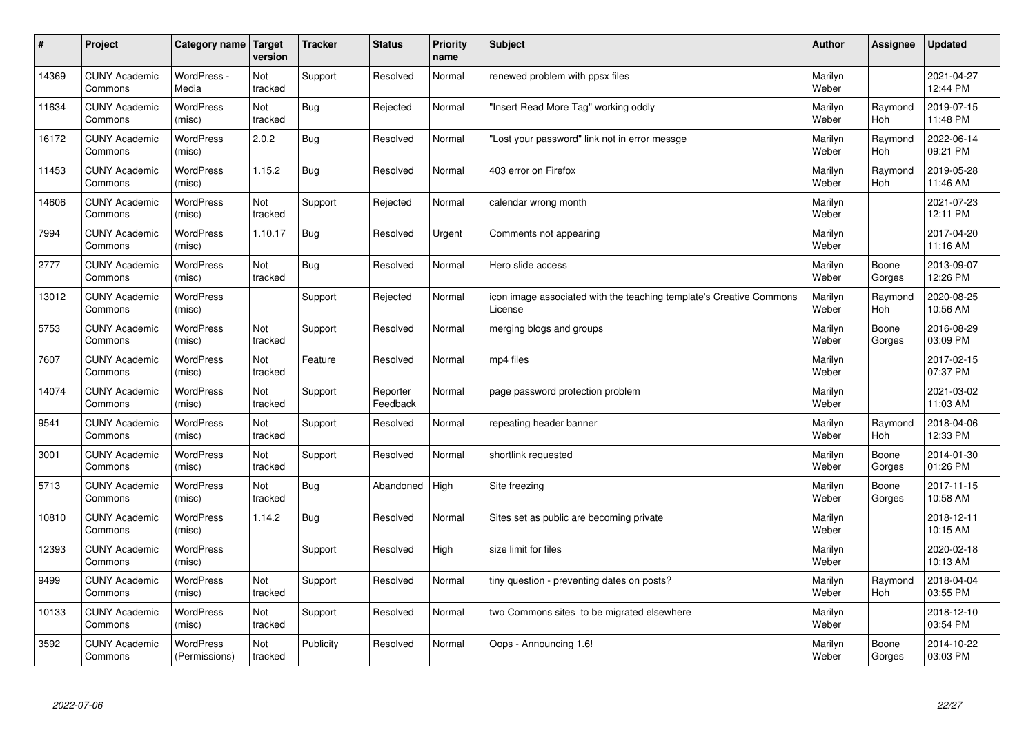| $\sharp$ | Project                         | Category name   Target            | version        | <b>Tracker</b> | <b>Status</b>        | <b>Priority</b><br>name | <b>Subject</b>                                                                 | <b>Author</b>    | Assignee              | <b>Updated</b>         |
|----------|---------------------------------|-----------------------------------|----------------|----------------|----------------------|-------------------------|--------------------------------------------------------------------------------|------------------|-----------------------|------------------------|
| 14369    | <b>CUNY Academic</b><br>Commons | WordPress -<br>Media              | Not<br>tracked | Support        | Resolved             | Normal                  | renewed problem with ppsx files                                                | Marilyn<br>Weber |                       | 2021-04-27<br>12:44 PM |
| 11634    | <b>CUNY Academic</b><br>Commons | <b>WordPress</b><br>(misc)        | Not<br>tracked | Bug            | Rejected             | Normal                  | 'Insert Read More Tag" working oddly                                           | Marilyn<br>Weber | Raymond<br>Hoh        | 2019-07-15<br>11:48 PM |
| 16172    | <b>CUNY Academic</b><br>Commons | <b>WordPress</b><br>(misc)        | 2.0.2          | Bug            | Resolved             | Normal                  | 'Lost your password" link not in error messge                                  | Marilyn<br>Weber | Raymond<br><b>Hoh</b> | 2022-06-14<br>09:21 PM |
| 11453    | <b>CUNY Academic</b><br>Commons | <b>WordPress</b><br>(misc)        | 1.15.2         | Bug            | Resolved             | Normal                  | 403 error on Firefox                                                           | Marilyn<br>Weber | Raymond<br><b>Hoh</b> | 2019-05-28<br>11:46 AM |
| 14606    | <b>CUNY Academic</b><br>Commons | <b>WordPress</b><br>(misc)        | Not<br>tracked | Support        | Rejected             | Normal                  | calendar wrong month                                                           | Marilyn<br>Weber |                       | 2021-07-23<br>12:11 PM |
| 7994     | <b>CUNY Academic</b><br>Commons | WordPress<br>(misc)               | 1.10.17        | Bug            | Resolved             | Urgent                  | Comments not appearing                                                         | Marilyn<br>Weber |                       | 2017-04-20<br>11:16 AM |
| 2777     | <b>CUNY Academic</b><br>Commons | <b>WordPress</b><br>(misc)        | Not<br>tracked | Bug            | Resolved             | Normal                  | Hero slide access                                                              | Marilyn<br>Weber | Boone<br>Gorges       | 2013-09-07<br>12:26 PM |
| 13012    | <b>CUNY Academic</b><br>Commons | <b>WordPress</b><br>(misc)        |                | Support        | Rejected             | Normal                  | icon image associated with the teaching template's Creative Commons<br>License | Marilyn<br>Weber | Raymond<br>Hoh        | 2020-08-25<br>10:56 AM |
| 5753     | <b>CUNY Academic</b><br>Commons | <b>WordPress</b><br>(misc)        | Not<br>tracked | Support        | Resolved             | Normal                  | merging blogs and groups                                                       | Marilyn<br>Weber | Boone<br>Gorges       | 2016-08-29<br>03:09 PM |
| 7607     | <b>CUNY Academic</b><br>Commons | WordPress<br>(misc)               | Not<br>tracked | Feature        | Resolved             | Normal                  | mp4 files                                                                      | Marilyn<br>Weber |                       | 2017-02-15<br>07:37 PM |
| 14074    | <b>CUNY Academic</b><br>Commons | WordPress<br>(misc)               | Not<br>tracked | Support        | Reporter<br>Feedback | Normal                  | page password protection problem                                               | Marilyn<br>Weber |                       | 2021-03-02<br>11:03 AM |
| 9541     | <b>CUNY Academic</b><br>Commons | <b>WordPress</b><br>(misc)        | Not<br>tracked | Support        | Resolved             | Normal                  | repeating header banner                                                        | Marilyn<br>Weber | Raymond<br>Hoh        | 2018-04-06<br>12:33 PM |
| 3001     | <b>CUNY Academic</b><br>Commons | WordPress<br>(misc)               | Not<br>tracked | Support        | Resolved             | Normal                  | shortlink requested                                                            | Marilyn<br>Weber | Boone<br>Gorges       | 2014-01-30<br>01:26 PM |
| 5713     | <b>CUNY Academic</b><br>Commons | WordPress<br>(misc)               | Not<br>tracked | Bug            | Abandoned            | High                    | Site freezing                                                                  | Marilyn<br>Weber | Boone<br>Gorges       | 2017-11-15<br>10:58 AM |
| 10810    | <b>CUNY Academic</b><br>Commons | <b>WordPress</b><br>(misc)        | 1.14.2         | <b>Bug</b>     | Resolved             | Normal                  | Sites set as public are becoming private                                       | Marilyn<br>Weber |                       | 2018-12-11<br>10:15 AM |
| 12393    | <b>CUNY Academic</b><br>Commons | <b>WordPress</b><br>(misc)        |                | Support        | Resolved             | High                    | size limit for files                                                           | Marilyn<br>Weber |                       | 2020-02-18<br>10:13 AM |
| 9499     | <b>CUNY Academic</b><br>Commons | WordPress<br>(misc)               | Not<br>tracked | Support        | Resolved             | Normal                  | tiny question - preventing dates on posts?                                     | Marilyn<br>Weber | Raymond<br>Hoh        | 2018-04-04<br>03:55 PM |
| 10133    | <b>CUNY Academic</b><br>Commons | WordPress<br>(misc)               | Not<br>tracked | Support        | Resolved             | Normal                  | two Commons sites to be migrated elsewhere                                     | Marilyn<br>Weber |                       | 2018-12-10<br>03:54 PM |
| 3592     | <b>CUNY Academic</b><br>Commons | <b>WordPress</b><br>(Permissions) | Not<br>tracked | Publicity      | Resolved             | Normal                  | Oops - Announcing 1.6!                                                         | Marilyn<br>Weber | Boone<br>Gorges       | 2014-10-22<br>03:03 PM |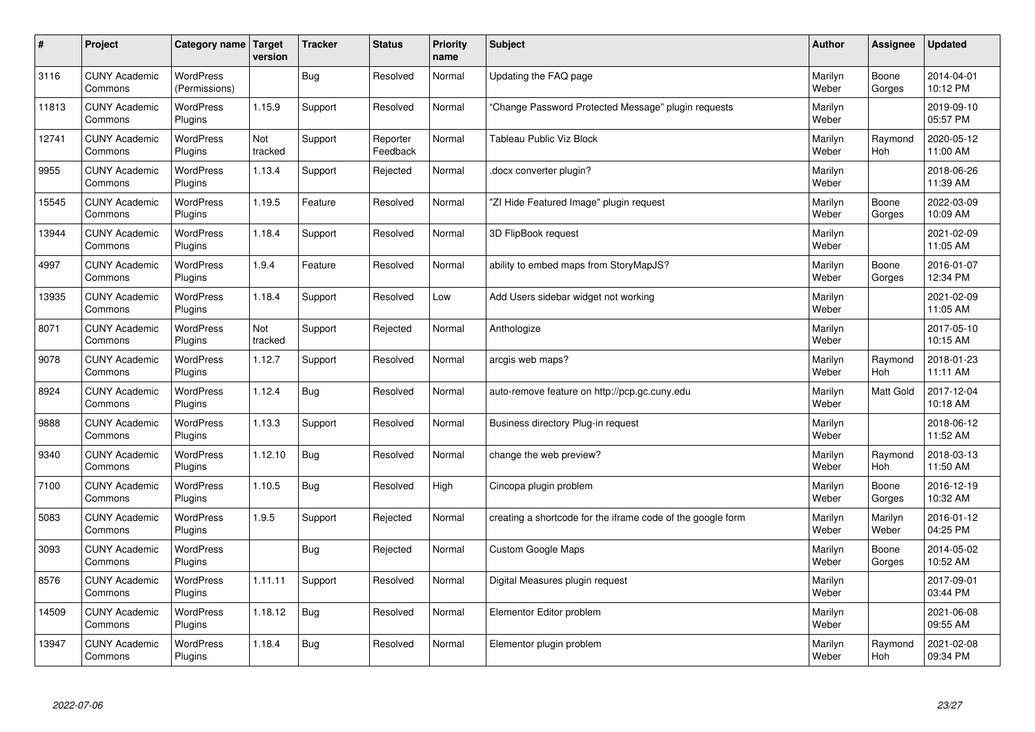| $\sharp$ | Project                         | Category name   Target            | version        | <b>Tracker</b> | <b>Status</b>        | <b>Priority</b><br>name | <b>Subject</b>                                              | <b>Author</b>    | Assignee              | <b>Updated</b>         |
|----------|---------------------------------|-----------------------------------|----------------|----------------|----------------------|-------------------------|-------------------------------------------------------------|------------------|-----------------------|------------------------|
| 3116     | <b>CUNY Academic</b><br>Commons | <b>WordPress</b><br>(Permissions) |                | Bug            | Resolved             | Normal                  | Updating the FAQ page                                       | Marilyn<br>Weber | Boone<br>Gorges       | 2014-04-01<br>10:12 PM |
| 11813    | <b>CUNY Academic</b><br>Commons | <b>WordPress</b><br>Plugins       | 1.15.9         | Support        | Resolved             | Normal                  | 'Change Password Protected Message" plugin requests         | Marilyn<br>Weber |                       | 2019-09-10<br>05:57 PM |
| 12741    | <b>CUNY Academic</b><br>Commons | <b>WordPress</b><br>Plugins       | Not<br>tracked | Support        | Reporter<br>Feedback | Normal                  | <b>Tableau Public Viz Block</b>                             | Marilyn<br>Weber | Raymond<br><b>Hoh</b> | 2020-05-12<br>11:00 AM |
| 9955     | <b>CUNY Academic</b><br>Commons | <b>WordPress</b><br>Plugins       | 1.13.4         | Support        | Rejected             | Normal                  | docx converter plugin?                                      | Marilyn<br>Weber |                       | 2018-06-26<br>11:39 AM |
| 15545    | <b>CUNY Academic</b><br>Commons | <b>WordPress</b><br>Plugins       | 1.19.5         | Feature        | Resolved             | Normal                  | 'ZI Hide Featured Image" plugin request                     | Marilyn<br>Weber | Boone<br>Gorges       | 2022-03-09<br>10:09 AM |
| 13944    | <b>CUNY Academic</b><br>Commons | <b>WordPress</b><br>Plugins       | 1.18.4         | Support        | Resolved             | Normal                  | 3D FlipBook request                                         | Marilyn<br>Weber |                       | 2021-02-09<br>11:05 AM |
| 4997     | <b>CUNY Academic</b><br>Commons | <b>WordPress</b><br>Plugins       | 1.9.4          | Feature        | Resolved             | Normal                  | ability to embed maps from StoryMapJS?                      | Marilyn<br>Weber | Boone<br>Gorges       | 2016-01-07<br>12:34 PM |
| 13935    | <b>CUNY Academic</b><br>Commons | WordPress<br>Plugins              | 1.18.4         | Support        | Resolved             | Low                     | Add Users sidebar widget not working                        | Marilyn<br>Weber |                       | 2021-02-09<br>11:05 AM |
| 8071     | <b>CUNY Academic</b><br>Commons | WordPress<br>Plugins              | Not<br>tracked | Support        | Rejected             | Normal                  | Anthologize                                                 | Marilyn<br>Weber |                       | 2017-05-10<br>10:15 AM |
| 9078     | <b>CUNY Academic</b><br>Commons | WordPress<br>Plugins              | 1.12.7         | Support        | Resolved             | Normal                  | arcgis web maps?                                            | Marilyn<br>Weber | Raymond<br>Hoh        | 2018-01-23<br>11:11 AM |
| 8924     | <b>CUNY Academic</b><br>Commons | <b>WordPress</b><br>Plugins       | 1.12.4         | Bug            | Resolved             | Normal                  | auto-remove feature on http://pcp.gc.cuny.edu               | Marilyn<br>Weber | Matt Gold             | 2017-12-04<br>10:18 AM |
| 9888     | <b>CUNY Academic</b><br>Commons | <b>WordPress</b><br>Plugins       | 1.13.3         | Support        | Resolved             | Normal                  | Business directory Plug-in request                          | Marilyn<br>Weber |                       | 2018-06-12<br>11:52 AM |
| 9340     | <b>CUNY Academic</b><br>Commons | <b>WordPress</b><br>Plugins       | 1.12.10        | Bug            | Resolved             | Normal                  | change the web preview?                                     | Marilyn<br>Weber | Raymond<br>Hoh        | 2018-03-13<br>11:50 AM |
| 7100     | <b>CUNY Academic</b><br>Commons | <b>WordPress</b><br>Plugins       | 1.10.5         | <b>Bug</b>     | Resolved             | High                    | Cincopa plugin problem                                      | Marilyn<br>Weber | Boone<br>Gorges       | 2016-12-19<br>10:32 AM |
| 5083     | <b>CUNY Academic</b><br>Commons | <b>WordPress</b><br>Plugins       | 1.9.5          | Support        | Rejected             | Normal                  | creating a shortcode for the iframe code of the google form | Marilyn<br>Weber | Marilyn<br>Weber      | 2016-01-12<br>04:25 PM |
| 3093     | <b>CUNY Academic</b><br>Commons | WordPress<br>Plugins              |                | Bug            | Rejected             | Normal                  | <b>Custom Google Maps</b>                                   | Marilyn<br>Weber | Boone<br>Gorges       | 2014-05-02<br>10:52 AM |
| 8576     | <b>CUNY Academic</b><br>Commons | <b>WordPress</b><br>Plugins       | 1.11.11        | Support        | Resolved             | Normal                  | Digital Measures plugin request                             | Marilyn<br>Weber |                       | 2017-09-01<br>03:44 PM |
| 14509    | <b>CUNY Academic</b><br>Commons | <b>WordPress</b><br>Plugins       | 1.18.12        | Bug            | Resolved             | Normal                  | Elementor Editor problem                                    | Marilyn<br>Weber |                       | 2021-06-08<br>09:55 AM |
| 13947    | <b>CUNY Academic</b><br>Commons | <b>WordPress</b><br>Plugins       | 1.18.4         | <b>Bug</b>     | Resolved             | Normal                  | Elementor plugin problem                                    | Marilyn<br>Weber | Raymond<br>Hoh        | 2021-02-08<br>09:34 PM |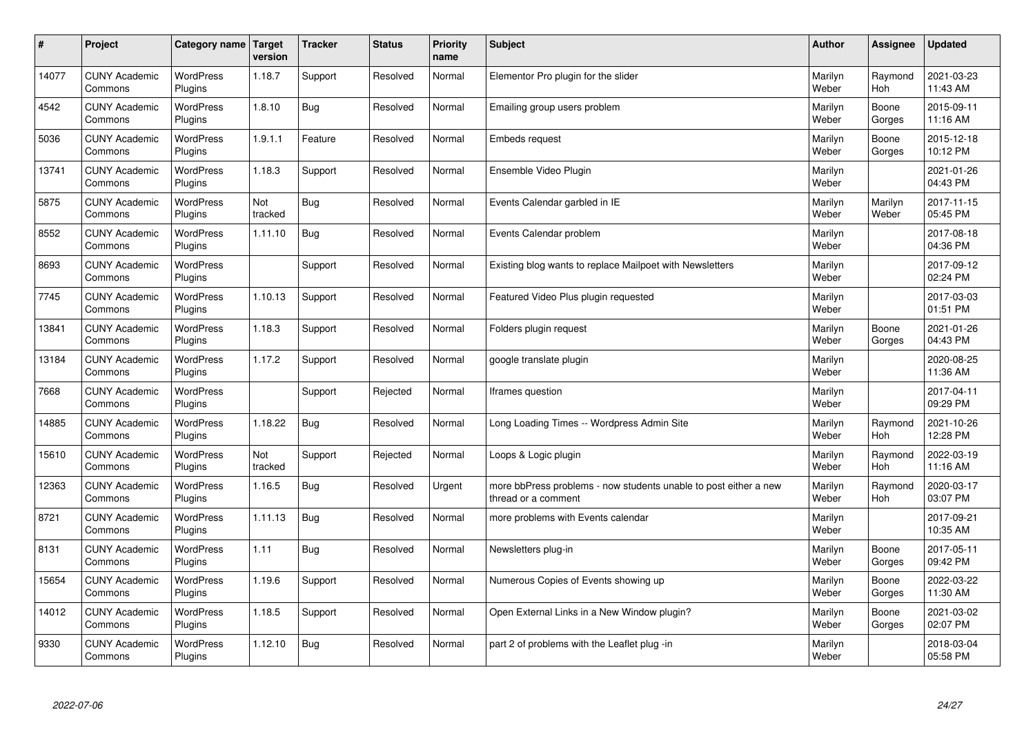| $\sharp$ | Project                         | Category name               | <b>Target</b><br>version | <b>Tracker</b> | <b>Status</b> | <b>Priority</b><br>name | <b>Subject</b>                                                                          | <b>Author</b>    | Assignee              | <b>Updated</b>         |
|----------|---------------------------------|-----------------------------|--------------------------|----------------|---------------|-------------------------|-----------------------------------------------------------------------------------------|------------------|-----------------------|------------------------|
| 14077    | <b>CUNY Academic</b><br>Commons | <b>WordPress</b><br>Plugins | 1.18.7                   | Support        | Resolved      | Normal                  | Elementor Pro plugin for the slider                                                     | Marilyn<br>Weber | Raymond<br><b>Hoh</b> | 2021-03-23<br>11:43 AM |
| 4542     | <b>CUNY Academic</b><br>Commons | <b>WordPress</b><br>Plugins | 1.8.10                   | Bug            | Resolved      | Normal                  | Emailing group users problem                                                            | Marilyn<br>Weber | Boone<br>Gorges       | 2015-09-11<br>11:16 AM |
| 5036     | <b>CUNY Academic</b><br>Commons | <b>WordPress</b><br>Plugins | 1.9.1.1                  | Feature        | Resolved      | Normal                  | Embeds request                                                                          | Marilyn<br>Weber | Boone<br>Gorges       | 2015-12-18<br>10:12 PM |
| 13741    | <b>CUNY Academic</b><br>Commons | <b>WordPress</b><br>Plugins | 1.18.3                   | Support        | Resolved      | Normal                  | Ensemble Video Plugin                                                                   | Marilyn<br>Weber |                       | 2021-01-26<br>04:43 PM |
| 5875     | <b>CUNY Academic</b><br>Commons | <b>WordPress</b><br>Plugins | Not<br>tracked           | Bug            | Resolved      | Normal                  | Events Calendar garbled in IE                                                           | Marilyn<br>Weber | Marilyn<br>Weber      | 2017-11-15<br>05:45 PM |
| 8552     | <b>CUNY Academic</b><br>Commons | WordPress<br>Plugins        | 1.11.10                  | Bug            | Resolved      | Normal                  | Events Calendar problem                                                                 | Marilyn<br>Weber |                       | 2017-08-18<br>04:36 PM |
| 8693     | <b>CUNY Academic</b><br>Commons | <b>WordPress</b><br>Plugins |                          | Support        | Resolved      | Normal                  | Existing blog wants to replace Mailpoet with Newsletters                                | Marilyn<br>Weber |                       | 2017-09-12<br>02:24 PM |
| 7745     | <b>CUNY Academic</b><br>Commons | <b>WordPress</b><br>Plugins | 1.10.13                  | Support        | Resolved      | Normal                  | Featured Video Plus plugin requested                                                    | Marilyn<br>Weber |                       | 2017-03-03<br>01:51 PM |
| 13841    | <b>CUNY Academic</b><br>Commons | <b>WordPress</b><br>Plugins | 1.18.3                   | Support        | Resolved      | Normal                  | Folders plugin request                                                                  | Marilyn<br>Weber | Boone<br>Gorges       | 2021-01-26<br>04:43 PM |
| 13184    | <b>CUNY Academic</b><br>Commons | WordPress<br>Plugins        | 1.17.2                   | Support        | Resolved      | Normal                  | google translate plugin                                                                 | Marilyn<br>Weber |                       | 2020-08-25<br>11:36 AM |
| 7668     | <b>CUNY Academic</b><br>Commons | WordPress<br>Plugins        |                          | Support        | Rejected      | Normal                  | Iframes question                                                                        | Marilyn<br>Weber |                       | 2017-04-11<br>09:29 PM |
| 14885    | <b>CUNY Academic</b><br>Commons | <b>WordPress</b><br>Plugins | 1.18.22                  | Bug            | Resolved      | Normal                  | Long Loading Times -- Wordpress Admin Site                                              | Marilyn<br>Weber | Raymond<br>Hoh        | 2021-10-26<br>12:28 PM |
| 15610    | <b>CUNY Academic</b><br>Commons | <b>WordPress</b><br>Plugins | Not<br>tracked           | Support        | Rejected      | Normal                  | Loops & Logic plugin                                                                    | Marilyn<br>Weber | Raymond<br>Hoh        | 2022-03-19<br>11:16 AM |
| 12363    | <b>CUNY Academic</b><br>Commons | <b>WordPress</b><br>Plugins | 1.16.5                   | Bug            | Resolved      | Urgent                  | more bbPress problems - now students unable to post either a new<br>thread or a comment | Marilyn<br>Weber | Raymond<br>Hoh        | 2020-03-17<br>03:07 PM |
| 8721     | <b>CUNY Academic</b><br>Commons | <b>WordPress</b><br>Plugins | 1.11.13                  | Bug            | Resolved      | Normal                  | more problems with Events calendar                                                      | Marilyn<br>Weber |                       | 2017-09-21<br>10:35 AM |
| 8131     | <b>CUNY Academic</b><br>Commons | <b>WordPress</b><br>Plugins | 1.11                     | Bug            | Resolved      | Normal                  | Newsletters plug-in                                                                     | Marilyn<br>Weber | Boone<br>Gorges       | 2017-05-11<br>09:42 PM |
| 15654    | <b>CUNY Academic</b><br>Commons | WordPress<br>Plugins        | 1.19.6                   | Support        | Resolved      | Normal                  | Numerous Copies of Events showing up                                                    | Marilyn<br>Weber | Boone<br>Gorges       | 2022-03-22<br>11:30 AM |
| 14012    | <b>CUNY Academic</b><br>Commons | <b>WordPress</b><br>Plugins | 1.18.5                   | Support        | Resolved      | Normal                  | Open External Links in a New Window plugin?                                             | Marilyn<br>Weber | Boone<br>Gorges       | 2021-03-02<br>02:07 PM |
| 9330     | <b>CUNY Academic</b><br>Commons | WordPress<br>Plugins        | 1.12.10                  | Bug            | Resolved      | Normal                  | part 2 of problems with the Leaflet plug -in                                            | Marilyn<br>Weber |                       | 2018-03-04<br>05:58 PM |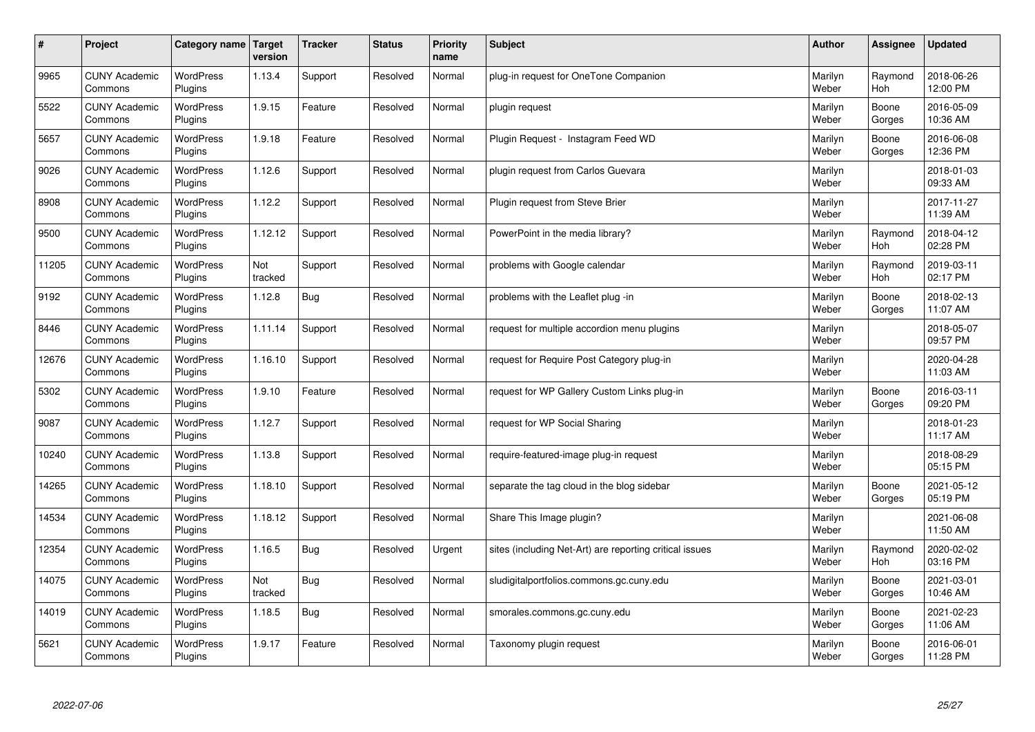| #     | Project                         | Category name               | <b>Target</b><br>version | <b>Tracker</b> | <b>Status</b> | <b>Priority</b><br>name | <b>Subject</b>                                          | <b>Author</b>    | Assignee              | <b>Updated</b>         |
|-------|---------------------------------|-----------------------------|--------------------------|----------------|---------------|-------------------------|---------------------------------------------------------|------------------|-----------------------|------------------------|
| 9965  | <b>CUNY Academic</b><br>Commons | <b>WordPress</b><br>Plugins | 1.13.4                   | Support        | Resolved      | Normal                  | plug-in request for OneTone Companion                   | Marilyn<br>Weber | Raymond<br><b>Hoh</b> | 2018-06-26<br>12:00 PM |
| 5522  | <b>CUNY Academic</b><br>Commons | <b>WordPress</b><br>Plugins | 1.9.15                   | Feature        | Resolved      | Normal                  | plugin request                                          | Marilyn<br>Weber | Boone<br>Gorges       | 2016-05-09<br>10:36 AM |
| 5657  | <b>CUNY Academic</b><br>Commons | <b>WordPress</b><br>Plugins | 1.9.18                   | Feature        | Resolved      | Normal                  | Plugin Request - Instagram Feed WD                      | Marilyn<br>Weber | Boone<br>Gorges       | 2016-06-08<br>12:36 PM |
| 9026  | <b>CUNY Academic</b><br>Commons | <b>WordPress</b><br>Plugins | 1.12.6                   | Support        | Resolved      | Normal                  | plugin request from Carlos Guevara                      | Marilyn<br>Weber |                       | 2018-01-03<br>09:33 AM |
| 8908  | <b>CUNY Academic</b><br>Commons | <b>WordPress</b><br>Plugins | 1.12.2                   | Support        | Resolved      | Normal                  | Plugin request from Steve Brier                         | Marilyn<br>Weber |                       | 2017-11-27<br>11:39 AM |
| 9500  | <b>CUNY Academic</b><br>Commons | WordPress<br>Plugins        | 1.12.12                  | Support        | Resolved      | Normal                  | PowerPoint in the media library?                        | Marilyn<br>Weber | Raymond<br>Hoh        | 2018-04-12<br>02:28 PM |
| 11205 | <b>CUNY Academic</b><br>Commons | <b>WordPress</b><br>Plugins | Not<br>tracked           | Support        | Resolved      | Normal                  | problems with Google calendar                           | Marilyn<br>Weber | Raymond<br>Hoh        | 2019-03-11<br>02:17 PM |
| 9192  | <b>CUNY Academic</b><br>Commons | <b>WordPress</b><br>Plugins | 1.12.8                   | Bug            | Resolved      | Normal                  | problems with the Leaflet plug -in                      | Marilyn<br>Weber | Boone<br>Gorges       | 2018-02-13<br>11:07 AM |
| 8446  | <b>CUNY Academic</b><br>Commons | <b>WordPress</b><br>Plugins | 1.11.14                  | Support        | Resolved      | Normal                  | request for multiple accordion menu plugins             | Marilyn<br>Weber |                       | 2018-05-07<br>09:57 PM |
| 12676 | <b>CUNY Academic</b><br>Commons | WordPress<br>Plugins        | 1.16.10                  | Support        | Resolved      | Normal                  | request for Require Post Category plug-in               | Marilyn<br>Weber |                       | 2020-04-28<br>11:03 AM |
| 5302  | <b>CUNY Academic</b><br>Commons | WordPress<br>Plugins        | 1.9.10                   | Feature        | Resolved      | Normal                  | request for WP Gallery Custom Links plug-in             | Marilyn<br>Weber | Boone<br>Gorges       | 2016-03-11<br>09:20 PM |
| 9087  | <b>CUNY Academic</b><br>Commons | <b>WordPress</b><br>Plugins | 1.12.7                   | Support        | Resolved      | Normal                  | request for WP Social Sharing                           | Marilyn<br>Weber |                       | 2018-01-23<br>11:17 AM |
| 10240 | <b>CUNY Academic</b><br>Commons | <b>WordPress</b><br>Plugins | 1.13.8                   | Support        | Resolved      | Normal                  | require-featured-image plug-in request                  | Marilyn<br>Weber |                       | 2018-08-29<br>05:15 PM |
| 14265 | <b>CUNY Academic</b><br>Commons | WordPress<br>Plugins        | 1.18.10                  | Support        | Resolved      | Normal                  | separate the tag cloud in the blog sidebar              | Marilyn<br>Weber | Boone<br>Gorges       | 2021-05-12<br>05:19 PM |
| 14534 | <b>CUNY Academic</b><br>Commons | <b>WordPress</b><br>Plugins | 1.18.12                  | Support        | Resolved      | Normal                  | Share This Image plugin?                                | Marilyn<br>Weber |                       | 2021-06-08<br>11:50 AM |
| 12354 | <b>CUNY Academic</b><br>Commons | <b>WordPress</b><br>Plugins | 1.16.5                   | Bug            | Resolved      | Urgent                  | sites (including Net-Art) are reporting critical issues | Marilyn<br>Weber | Raymond<br><b>Hoh</b> | 2020-02-02<br>03:16 PM |
| 14075 | <b>CUNY Academic</b><br>Commons | WordPress<br>Plugins        | Not<br>tracked           | Bug            | Resolved      | Normal                  | sludigitalportfolios.commons.gc.cuny.edu                | Marilyn<br>Weber | Boone<br>Gorges       | 2021-03-01<br>10:46 AM |
| 14019 | <b>CUNY Academic</b><br>Commons | WordPress<br>Plugins        | 1.18.5                   | <b>Bug</b>     | Resolved      | Normal                  | smorales.commons.gc.cuny.edu                            | Marilyn<br>Weber | Boone<br>Gorges       | 2021-02-23<br>11:06 AM |
| 5621  | <b>CUNY Academic</b><br>Commons | WordPress<br>Plugins        | 1.9.17                   | Feature        | Resolved      | Normal                  | Taxonomy plugin request                                 | Marilyn<br>Weber | Boone<br>Gorges       | 2016-06-01<br>11:28 PM |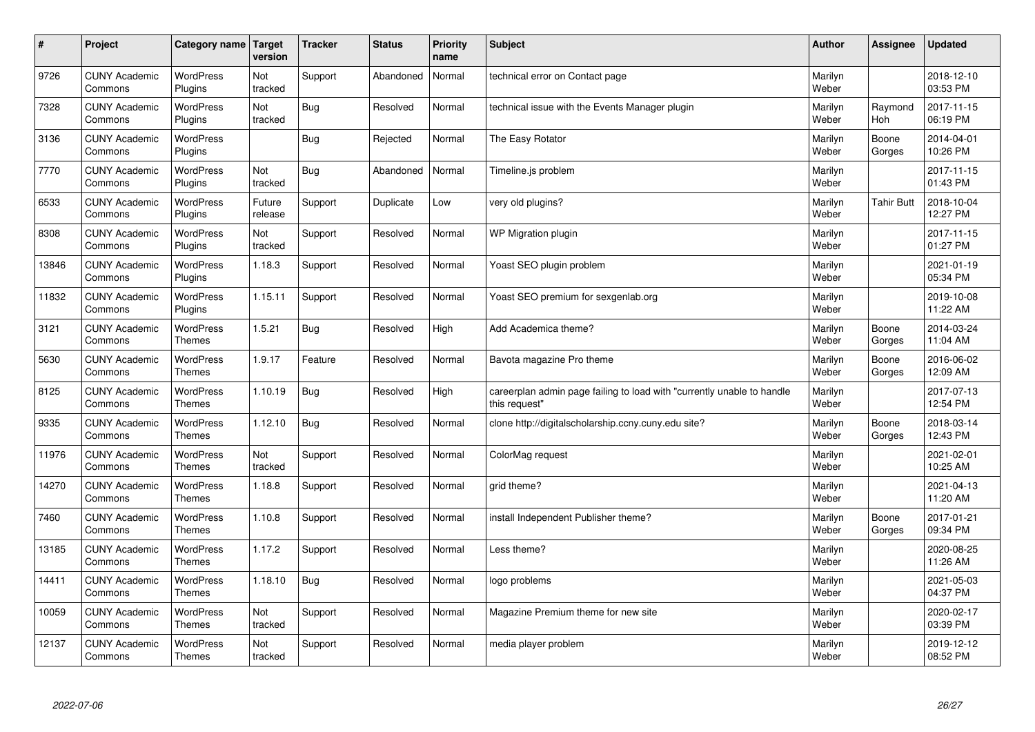| #     | Project                         | Category name                      | Target<br>version | <b>Tracker</b> | <b>Status</b> | <b>Priority</b><br>name | <b>Subject</b>                                                                          | <b>Author</b>    | Assignee          | <b>Updated</b>         |
|-------|---------------------------------|------------------------------------|-------------------|----------------|---------------|-------------------------|-----------------------------------------------------------------------------------------|------------------|-------------------|------------------------|
| 9726  | <b>CUNY Academic</b><br>Commons | <b>WordPress</b><br>Plugins        | Not<br>tracked    | Support        | Abandoned     | Normal                  | technical error on Contact page                                                         | Marilyn<br>Weber |                   | 2018-12-10<br>03:53 PM |
| 7328  | <b>CUNY Academic</b><br>Commons | <b>WordPress</b><br>Plugins        | Not<br>tracked    | Bug            | Resolved      | Normal                  | technical issue with the Events Manager plugin                                          | Marilyn<br>Weber | Raymond<br>Hoh    | 2017-11-15<br>06:19 PM |
| 3136  | <b>CUNY Academic</b><br>Commons | <b>WordPress</b><br>Plugins        |                   | Bug            | Rejected      | Normal                  | The Easy Rotator                                                                        | Marilyn<br>Weber | Boone<br>Gorges   | 2014-04-01<br>10:26 PM |
| 7770  | <b>CUNY Academic</b><br>Commons | <b>WordPress</b><br>Plugins        | Not<br>tracked    | Bug            | Abandoned     | Normal                  | Timeline.js problem                                                                     | Marilyn<br>Weber |                   | 2017-11-15<br>01:43 PM |
| 6533  | <b>CUNY Academic</b><br>Commons | <b>WordPress</b><br>Plugins        | Future<br>release | Support        | Duplicate     | Low                     | very old plugins?                                                                       | Marilyn<br>Weber | <b>Tahir Butt</b> | 2018-10-04<br>12:27 PM |
| 8308  | <b>CUNY Academic</b><br>Commons | WordPress<br>Plugins               | Not<br>tracked    | Support        | Resolved      | Normal                  | <b>WP Migration plugin</b>                                                              | Marilyn<br>Weber |                   | 2017-11-15<br>01:27 PM |
| 13846 | <b>CUNY Academic</b><br>Commons | <b>WordPress</b><br>Plugins        | 1.18.3            | Support        | Resolved      | Normal                  | Yoast SEO plugin problem                                                                | Marilyn<br>Weber |                   | 2021-01-19<br>05:34 PM |
| 11832 | <b>CUNY Academic</b><br>Commons | <b>WordPress</b><br><b>Plugins</b> | 1.15.11           | Support        | Resolved      | Normal                  | Yoast SEO premium for sexgenlab.org                                                     | Marilyn<br>Weber |                   | 2019-10-08<br>11:22 AM |
| 3121  | <b>CUNY Academic</b><br>Commons | <b>WordPress</b><br><b>Themes</b>  | 1.5.21            | <b>Bug</b>     | Resolved      | High                    | Add Academica theme?                                                                    | Marilyn<br>Weber | Boone<br>Gorges   | 2014-03-24<br>11:04 AM |
| 5630  | <b>CUNY Academic</b><br>Commons | <b>WordPress</b><br><b>Themes</b>  | 1.9.17            | Feature        | Resolved      | Normal                  | Bavota magazine Pro theme                                                               | Marilyn<br>Weber | Boone<br>Gorges   | 2016-06-02<br>12:09 AM |
| 8125  | <b>CUNY Academic</b><br>Commons | <b>WordPress</b><br><b>Themes</b>  | 1.10.19           | Bug            | Resolved      | High                    | careerplan admin page failing to load with "currently unable to handle<br>this request" | Marilyn<br>Weber |                   | 2017-07-13<br>12:54 PM |
| 9335  | <b>CUNY Academic</b><br>Commons | <b>WordPress</b><br><b>Themes</b>  | 1.12.10           | Bug            | Resolved      | Normal                  | clone http://digitalscholarship.ccny.cuny.edu site?                                     | Marilyn<br>Weber | Boone<br>Gorges   | 2018-03-14<br>12:43 PM |
| 11976 | <b>CUNY Academic</b><br>Commons | <b>WordPress</b><br><b>Themes</b>  | Not<br>tracked    | Support        | Resolved      | Normal                  | ColorMag request                                                                        | Marilyn<br>Weber |                   | 2021-02-01<br>10:25 AM |
| 14270 | <b>CUNY Academic</b><br>Commons | <b>WordPress</b><br><b>Themes</b>  | 1.18.8            | Support        | Resolved      | Normal                  | grid theme?                                                                             | Marilyn<br>Weber |                   | 2021-04-13<br>11:20 AM |
| 7460  | <b>CUNY Academic</b><br>Commons | WordPress<br><b>Themes</b>         | 1.10.8            | Support        | Resolved      | Normal                  | install Independent Publisher theme?                                                    | Marilyn<br>Weber | Boone<br>Gorges   | 2017-01-21<br>09:34 PM |
| 13185 | <b>CUNY Academic</b><br>Commons | <b>WordPress</b><br><b>Themes</b>  | 1.17.2            | Support        | Resolved      | Normal                  | Less theme?                                                                             | Marilyn<br>Weber |                   | 2020-08-25<br>11:26 AM |
| 14411 | <b>CUNY Academic</b><br>Commons | <b>WordPress</b><br>Themes         | 1.18.10           | Bug            | Resolved      | Normal                  | logo problems                                                                           | Marilyn<br>Weber |                   | 2021-05-03<br>04:37 PM |
| 10059 | <b>CUNY Academic</b><br>Commons | <b>WordPress</b><br><b>Themes</b>  | Not<br>tracked    | Support        | Resolved      | Normal                  | Magazine Premium theme for new site                                                     | Marilyn<br>Weber |                   | 2020-02-17<br>03:39 PM |
| 12137 | <b>CUNY Academic</b><br>Commons | WordPress<br><b>Themes</b>         | Not<br>tracked    | Support        | Resolved      | Normal                  | media player problem                                                                    | Marilyn<br>Weber |                   | 2019-12-12<br>08:52 PM |